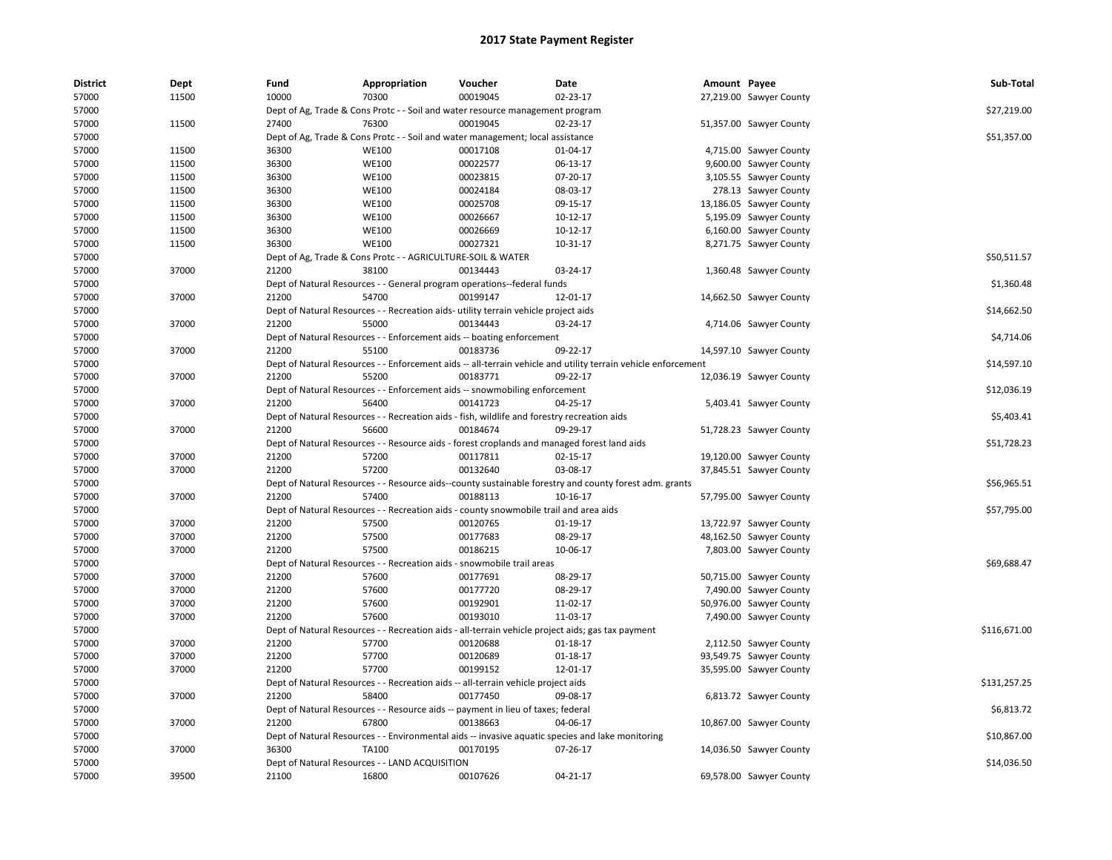| <b>District</b> | <b>Dept</b> | Fund  | Appropriation                                                                               | Voucher  | Date                                                                                                          | Amount Payee |                         | Sub-Total    |
|-----------------|-------------|-------|---------------------------------------------------------------------------------------------|----------|---------------------------------------------------------------------------------------------------------------|--------------|-------------------------|--------------|
| 57000           | 11500       | 10000 | 70300                                                                                       | 00019045 | 02-23-17                                                                                                      |              | 27,219.00 Sawyer County |              |
| 57000           |             |       | Dept of Ag, Trade & Cons Protc - - Soil and water resource management program               |          |                                                                                                               |              |                         | \$27,219.00  |
| 57000           | 11500       | 27400 | 76300                                                                                       | 00019045 | 02-23-17                                                                                                      |              | 51,357.00 Sawyer County |              |
| 57000           |             |       | Dept of Ag, Trade & Cons Protc - - Soil and water management; local assistance              |          |                                                                                                               |              |                         | \$51,357.00  |
| 57000           | 11500       | 36300 | <b>WE100</b>                                                                                | 00017108 | 01-04-17                                                                                                      |              | 4,715.00 Sawyer County  |              |
| 57000           | 11500       | 36300 | <b>WE100</b>                                                                                | 00022577 | 06-13-17                                                                                                      |              | 9,600.00 Sawyer County  |              |
| 57000           | 11500       | 36300 | <b>WE100</b>                                                                                | 00023815 | 07-20-17                                                                                                      |              | 3,105.55 Sawyer County  |              |
| 57000           | 11500       | 36300 | <b>WE100</b>                                                                                | 00024184 | 08-03-17                                                                                                      |              | 278.13 Sawyer County    |              |
| 57000           | 11500       | 36300 | <b>WE100</b>                                                                                | 00025708 | 09-15-17                                                                                                      |              | 13,186.05 Sawyer County |              |
| 57000           | 11500       | 36300 | <b>WE100</b>                                                                                | 00026667 | 10-12-17                                                                                                      |              | 5,195.09 Sawyer County  |              |
| 57000           | 11500       | 36300 | <b>WE100</b>                                                                                | 00026669 | 10-12-17                                                                                                      |              | 6,160.00 Sawyer County  |              |
| 57000           | 11500       | 36300 | <b>WE100</b>                                                                                | 00027321 | 10-31-17                                                                                                      |              | 8,271.75 Sawyer County  |              |
| 57000           |             |       | Dept of Ag, Trade & Cons Protc - - AGRICULTURE-SOIL & WATER                                 |          |                                                                                                               |              |                         | \$50,511.57  |
| 57000           | 37000       | 21200 | 38100                                                                                       | 00134443 | 03-24-17                                                                                                      |              | 1,360.48 Sawyer County  |              |
| 57000           |             |       | Dept of Natural Resources - - General program operations--federal funds                     |          |                                                                                                               |              |                         | \$1,360.48   |
| 57000           | 37000       | 21200 | 54700                                                                                       | 00199147 | 12-01-17                                                                                                      |              | 14,662.50 Sawyer County |              |
| 57000           |             |       | Dept of Natural Resources - - Recreation aids- utility terrain vehicle project aids         |          |                                                                                                               |              |                         | \$14,662.50  |
| 57000           | 37000       | 21200 | 55000                                                                                       | 00134443 | 03-24-17                                                                                                      |              | 4,714.06 Sawyer County  |              |
| 57000           |             |       | Dept of Natural Resources - - Enforcement aids -- boating enforcement                       |          |                                                                                                               |              |                         | \$4,714.06   |
| 57000           | 37000       | 21200 | 55100                                                                                       | 00183736 | 09-22-17                                                                                                      |              | 14,597.10 Sawyer County |              |
| 57000           |             |       |                                                                                             |          | Dept of Natural Resources - - Enforcement aids -- all-terrain vehicle and utility terrain vehicle enforcement |              |                         | \$14,597.10  |
| 57000           | 37000       | 21200 | 55200                                                                                       | 00183771 | 09-22-17                                                                                                      |              | 12,036.19 Sawyer County |              |
| 57000           |             |       | Dept of Natural Resources - - Enforcement aids -- snowmobiling enforcement                  |          |                                                                                                               |              |                         | \$12,036.19  |
| 57000           | 37000       | 21200 | 56400                                                                                       | 00141723 | 04-25-17                                                                                                      |              | 5,403.41 Sawyer County  |              |
| 57000           |             |       | Dept of Natural Resources - - Recreation aids - fish, wildlife and forestry recreation aids |          |                                                                                                               |              |                         | \$5,403.41   |
| 57000           | 37000       | 21200 | 56600                                                                                       | 00184674 | 09-29-17                                                                                                      |              | 51,728.23 Sawyer County |              |
| 57000           |             |       |                                                                                             |          | Dept of Natural Resources - - Resource aids - forest croplands and managed forest land aids                   |              |                         | \$51,728.23  |
| 57000           | 37000       | 21200 | 57200                                                                                       | 00117811 | 02-15-17                                                                                                      |              | 19,120.00 Sawyer County |              |
| 57000           | 37000       | 21200 | 57200                                                                                       | 00132640 | 03-08-17                                                                                                      |              | 37,845.51 Sawyer County |              |
| 57000           |             |       |                                                                                             |          | Dept of Natural Resources - - Resource aids--county sustainable forestry and county forest adm. grants        |              |                         | \$56,965.51  |
| 57000           | 37000       | 21200 | 57400                                                                                       | 00188113 | 10-16-17                                                                                                      |              | 57,795.00 Sawyer County |              |
| 57000           |             |       | Dept of Natural Resources - - Recreation aids - county snowmobile trail and area aids       |          |                                                                                                               |              |                         | \$57,795.00  |
| 57000           | 37000       | 21200 | 57500                                                                                       | 00120765 | 01-19-17                                                                                                      |              | 13,722.97 Sawyer County |              |
| 57000           | 37000       | 21200 | 57500                                                                                       | 00177683 | 08-29-17                                                                                                      |              | 48,162.50 Sawyer County |              |
| 57000           | 37000       | 21200 | 57500                                                                                       | 00186215 | 10-06-17                                                                                                      |              | 7,803.00 Sawyer County  |              |
| 57000           |             |       | Dept of Natural Resources - - Recreation aids - snowmobile trail areas                      |          |                                                                                                               |              |                         | \$69,688.47  |
| 57000           | 37000       | 21200 | 57600                                                                                       | 00177691 | 08-29-17                                                                                                      |              | 50,715.00 Sawyer County |              |
| 57000           | 37000       | 21200 | 57600                                                                                       | 00177720 | 08-29-17                                                                                                      |              | 7,490.00 Sawyer County  |              |
| 57000           | 37000       | 21200 | 57600                                                                                       | 00192901 | 11-02-17                                                                                                      |              | 50,976.00 Sawyer County |              |
| 57000           | 37000       | 21200 | 57600                                                                                       | 00193010 | 11-03-17                                                                                                      |              | 7,490.00 Sawyer County  |              |
| 57000           |             |       |                                                                                             |          | Dept of Natural Resources - - Recreation aids - all-terrain vehicle project aids; gas tax payment             |              |                         | \$116,671.00 |
| 57000           | 37000       | 21200 | 57700                                                                                       | 00120688 | 01-18-17                                                                                                      |              | 2,112.50 Sawyer County  |              |
| 57000           | 37000       | 21200 | 57700                                                                                       | 00120689 | 01-18-17                                                                                                      |              | 93,549.75 Sawyer County |              |
| 57000           | 37000       | 21200 | 57700                                                                                       | 00199152 | 12-01-17                                                                                                      |              | 35,595.00 Sawyer County |              |
|                 |             |       |                                                                                             |          |                                                                                                               |              |                         |              |
| 57000           |             |       | Dept of Natural Resources - - Recreation aids -- all-terrain vehicle project aids           |          |                                                                                                               |              |                         | \$131,257.25 |
| 57000           | 37000       | 21200 | 58400                                                                                       | 00177450 | 09-08-17                                                                                                      |              | 6,813.72 Sawyer County  |              |
| 57000           |             |       | Dept of Natural Resources - - Resource aids -- payment in lieu of taxes; federal            |          |                                                                                                               |              |                         | \$6,813.72   |
| 57000           | 37000       | 21200 | 67800                                                                                       | 00138663 | 04-06-17                                                                                                      |              | 10,867.00 Sawyer County |              |
| 57000           |             |       |                                                                                             |          | Dept of Natural Resources - - Environmental aids -- invasive aquatic species and lake monitoring              |              |                         | \$10,867.00  |
| 57000           | 37000       | 36300 | TA100                                                                                       | 00170195 | 07-26-17                                                                                                      |              | 14,036.50 Sawyer County |              |
| 57000           |             |       | Dept of Natural Resources - - LAND ACQUISITION                                              |          |                                                                                                               |              |                         | \$14,036.50  |
| 57000           | 39500       | 21100 | 16800                                                                                       | 00107626 | $04 - 21 - 17$                                                                                                |              | 69,578.00 Sawyer County |              |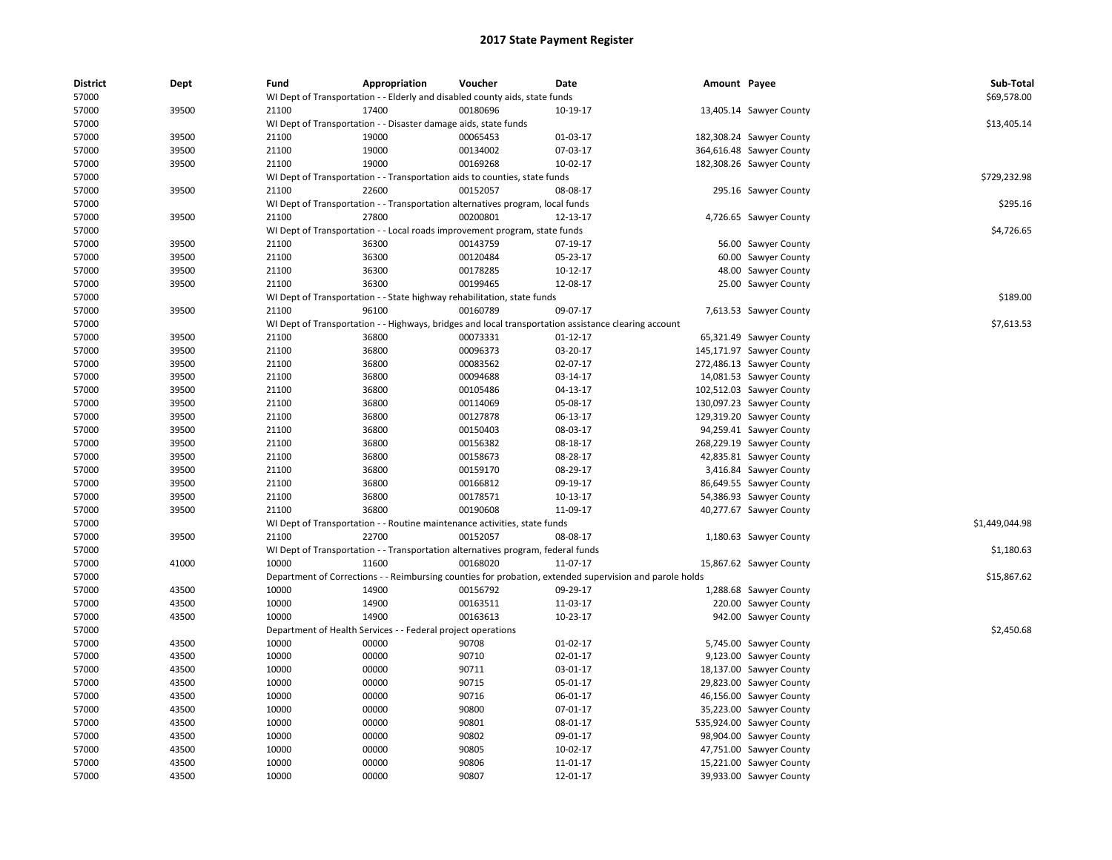| <b>District</b> | Dept  | Fund                          | Appropriation                                                   | Voucher                                                                          | <b>Date</b>                                                                                             | Amount Payee |                          | Sub-Total      |
|-----------------|-------|-------------------------------|-----------------------------------------------------------------|----------------------------------------------------------------------------------|---------------------------------------------------------------------------------------------------------|--------------|--------------------------|----------------|
| 57000           |       |                               |                                                                 | WI Dept of Transportation - - Elderly and disabled county aids, state funds      |                                                                                                         |              |                          | \$69,578.00    |
| 57000           | 39500 | 21100                         | 17400                                                           | 00180696                                                                         | 10-19-17                                                                                                |              | 13,405.14 Sawyer County  |                |
| 57000           |       |                               | WI Dept of Transportation - - Disaster damage aids, state funds |                                                                                  |                                                                                                         |              |                          | \$13,405.14    |
| 57000           | 39500 | 21100                         | 19000                                                           | 00065453                                                                         | 01-03-17                                                                                                |              | 182,308.24 Sawyer County |                |
| 57000           | 39500 | 21100                         | 19000                                                           | 00134002                                                                         | 07-03-17                                                                                                |              | 364,616.48 Sawyer County |                |
| 57000           | 39500 | 21100                         | 19000                                                           | 00169268                                                                         | 10-02-17                                                                                                |              | 182,308.26 Sawyer County |                |
| 57000           |       |                               |                                                                 | WI Dept of Transportation - - Transportation aids to counties, state funds       |                                                                                                         |              |                          | \$729,232.98   |
| 57000           | 39500 | 21100                         | 22600                                                           | 00152057                                                                         | 08-08-17                                                                                                |              | 295.16 Sawyer County     |                |
| 57000           |       |                               |                                                                 | WI Dept of Transportation - - Transportation alternatives program, local funds   |                                                                                                         |              |                          | \$295.16       |
| 57000           | 39500 | 21100                         | 27800                                                           | 00200801                                                                         | 12-13-17                                                                                                |              | 4,726.65 Sawyer County   |                |
| 57000           |       |                               |                                                                 | WI Dept of Transportation - - Local roads improvement program, state funds       |                                                                                                         |              |                          | \$4,726.65     |
| 57000           | 39500 | 21100                         | 36300                                                           | 00143759                                                                         | 07-19-17                                                                                                | 56.00        | Sawyer County            |                |
| 57000           | 39500 | 21100                         | 36300                                                           | 00120484                                                                         | 05-23-17                                                                                                |              | 60.00 Sawyer County      |                |
| 57000           | 39500 | 21100                         | 36300                                                           | 00178285                                                                         | 10-12-17                                                                                                |              | 48.00 Sawyer County      |                |
| 57000           | 39500 | 21100                         | 36300                                                           | 00199465                                                                         | 12-08-17                                                                                                |              | 25.00 Sawyer County      |                |
| 57000           |       |                               |                                                                 | WI Dept of Transportation - - State highway rehabilitation, state funds          |                                                                                                         |              |                          | \$189.00       |
| 57000           | 39500 | 21100                         | 96100                                                           | 00160789                                                                         | 09-07-17                                                                                                |              | 7,613.53 Sawyer County   |                |
| 57000           |       |                               |                                                                 |                                                                                  | WI Dept of Transportation - - Highways, bridges and local transportation assistance clearing account    |              |                          | \$7,613.53     |
| 57000           | 39500 | 21100                         | 36800                                                           | 00073331                                                                         | 01-12-17                                                                                                |              | 65,321.49 Sawyer County  |                |
| 57000           | 39500 | 21100                         | 36800                                                           | 00096373                                                                         | 03-20-17                                                                                                |              | 145,171.97 Sawyer County |                |
| 57000           | 39500 | 21100                         | 36800                                                           | 00083562                                                                         | 02-07-17                                                                                                |              | 272,486.13 Sawyer County |                |
| 57000           | 39500 | 21100                         | 36800                                                           | 00094688                                                                         | 03-14-17                                                                                                |              | 14,081.53 Sawyer County  |                |
| 57000           | 39500 | 21100                         | 36800                                                           | 00105486                                                                         | 04-13-17                                                                                                |              | 102,512.03 Sawyer County |                |
| 57000           | 39500 | 21100                         | 36800                                                           | 00114069                                                                         | 05-08-17                                                                                                |              | 130,097.23 Sawyer County |                |
| 57000           | 39500 | 21100                         | 36800                                                           | 00127878                                                                         | 06-13-17                                                                                                |              | 129,319.20 Sawyer County |                |
| 57000           | 39500 | 21100                         | 36800                                                           | 00150403                                                                         | 08-03-17                                                                                                |              | 94,259.41 Sawyer County  |                |
| 57000           | 39500 | 21100                         | 36800                                                           | 00156382                                                                         | 08-18-17                                                                                                |              | 268,229.19 Sawyer County |                |
| 57000           | 39500 | 21100                         | 36800                                                           | 00158673                                                                         | 08-28-17                                                                                                |              | 42,835.81 Sawyer County  |                |
| 57000           | 39500 | 21100                         | 36800                                                           | 00159170                                                                         | 08-29-17                                                                                                |              | 3,416.84 Sawyer County   |                |
| 57000           | 39500 | 21100                         | 36800                                                           | 00166812                                                                         | 09-19-17                                                                                                |              | 86,649.55 Sawyer County  |                |
|                 |       |                               |                                                                 |                                                                                  |                                                                                                         |              |                          |                |
| 57000           | 39500 | 21100                         | 36800                                                           | 00178571                                                                         | 10-13-17                                                                                                |              | 54,386.93 Sawyer County  |                |
| 57000           | 39500 | 21100                         | 36800                                                           | 00190608                                                                         | 11-09-17                                                                                                |              | 40,277.67 Sawyer County  |                |
| 57000           |       |                               |                                                                 | WI Dept of Transportation - - Routine maintenance activities, state funds        |                                                                                                         |              |                          | \$1,449,044.98 |
| 57000           | 39500 | 21100                         | 22700                                                           | 00152057                                                                         | 08-08-17                                                                                                |              | 1,180.63 Sawyer County   |                |
| 57000           |       |                               |                                                                 | WI Dept of Transportation - - Transportation alternatives program, federal funds |                                                                                                         |              |                          | \$1,180.63     |
| 57000           | 41000 | 10000                         | 11600                                                           | 00168020                                                                         | 11-07-17                                                                                                |              | 15,867.62 Sawyer County  |                |
| 57000           |       |                               |                                                                 |                                                                                  | Department of Corrections - - Reimbursing counties for probation, extended supervision and parole holds |              |                          | \$15,867.62    |
| 57000           | 43500 | 10000                         | 14900                                                           | 00156792                                                                         | 09-29-17                                                                                                |              | 1,288.68 Sawyer County   |                |
| 57000           | 43500 | 10000                         | 14900                                                           | 00163511                                                                         | 11-03-17                                                                                                |              | 220.00 Sawyer County     |                |
| 57000           | 43500 | 10000                         | 14900                                                           | 00163613                                                                         | 10-23-17                                                                                                |              | 942.00 Sawyer County     |                |
| 57000           |       | Department of Health Services |                                                                 | - Federal project operations                                                     |                                                                                                         |              |                          | \$2,450.68     |
| 57000           | 43500 | 10000                         | 00000                                                           | 90708                                                                            | $01-02-17$                                                                                              |              | 5,745.00 Sawyer County   |                |
| 57000           | 43500 | 10000                         | 00000                                                           | 90710                                                                            | 02-01-17                                                                                                |              | 9,123.00 Sawyer County   |                |
| 57000           | 43500 | 10000                         | 00000                                                           | 90711                                                                            | 03-01-17                                                                                                | 18,137.00    | Sawyer County            |                |
| 57000           | 43500 | 10000                         | 00000                                                           | 90715                                                                            | 05-01-17                                                                                                |              | 29,823.00 Sawyer County  |                |
| 57000           | 43500 | 10000                         | 00000                                                           | 90716                                                                            | 06-01-17                                                                                                |              | 46,156.00 Sawyer County  |                |
| 57000           | 43500 | 10000                         | 00000                                                           | 90800                                                                            | 07-01-17                                                                                                |              | 35,223.00 Sawyer County  |                |
| 57000           | 43500 | 10000                         | 00000                                                           | 90801                                                                            | 08-01-17                                                                                                |              | 535,924.00 Sawyer County |                |
| 57000           | 43500 | 10000                         | 00000                                                           | 90802                                                                            | 09-01-17                                                                                                | 98,904.00    | Sawyer County            |                |
| 57000           | 43500 | 10000                         | 00000                                                           | 90805                                                                            | $10-02-17$                                                                                              |              | 47,751.00 Sawyer County  |                |
| 57000           | 43500 | 10000                         | 00000                                                           | 90806                                                                            | 11-01-17                                                                                                |              | 15,221.00 Sawyer County  |                |
| 57000           | 43500 | 10000                         | 00000                                                           | 90807                                                                            | 12-01-17                                                                                                |              | 39,933.00 Sawyer County  |                |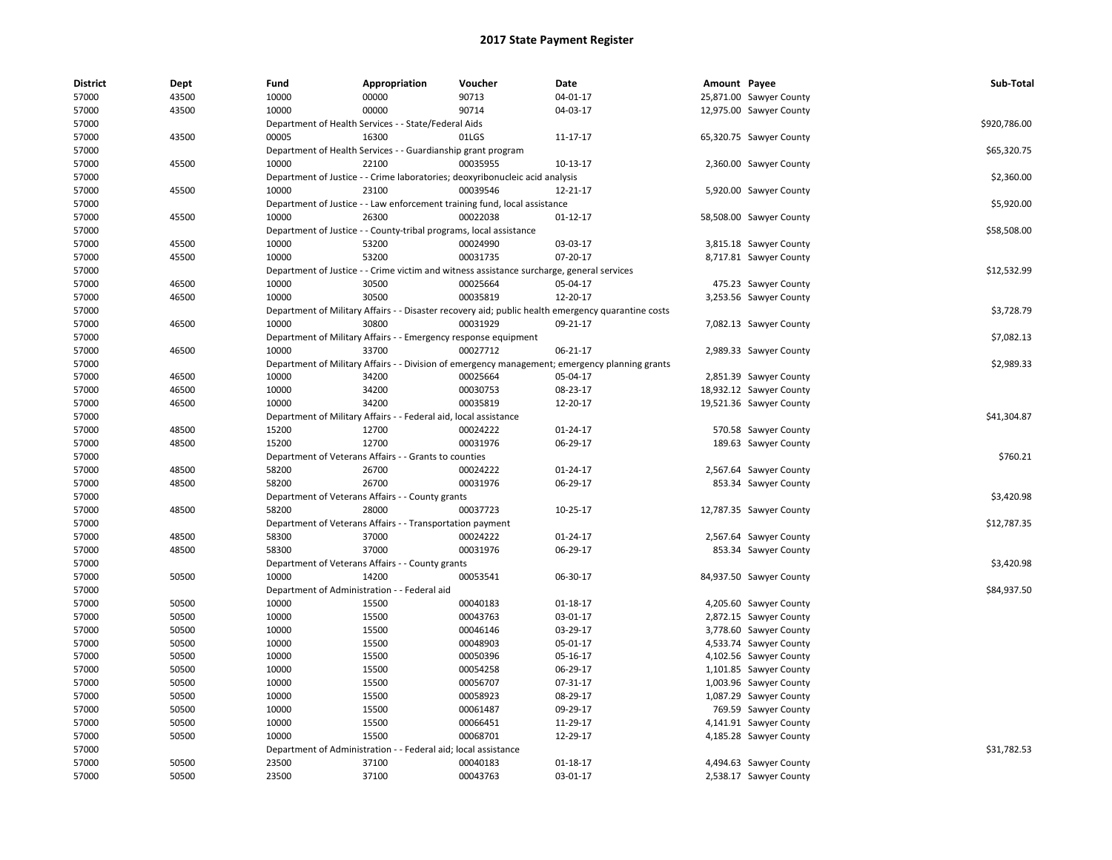| <b>District</b> | Dept  | Fund                         | Appropriation                                                      | Voucher                                                                                   | Date                                                                                               | Amount Payee |                         | Sub-Total    |
|-----------------|-------|------------------------------|--------------------------------------------------------------------|-------------------------------------------------------------------------------------------|----------------------------------------------------------------------------------------------------|--------------|-------------------------|--------------|
| 57000           | 43500 | 10000                        | 00000                                                              | 90713                                                                                     | 04-01-17                                                                                           |              | 25,871.00 Sawyer County |              |
| 57000           | 43500 | 10000                        | 00000                                                              | 90714                                                                                     | 04-03-17                                                                                           |              | 12,975.00 Sawyer County |              |
| 57000           |       |                              | Department of Health Services - - State/Federal Aids               |                                                                                           |                                                                                                    |              |                         | \$920,786.00 |
| 57000           | 43500 | 00005                        | 16300                                                              | 01LGS                                                                                     | 11-17-17                                                                                           |              | 65,320.75 Sawyer County |              |
| 57000           |       |                              | Department of Health Services - - Guardianship grant program       |                                                                                           |                                                                                                    |              |                         | \$65,320.75  |
| 57000           | 45500 | 10000                        | 22100                                                              | 00035955                                                                                  | 10-13-17                                                                                           |              | 2,360.00 Sawyer County  |              |
| 57000           |       |                              |                                                                    | Department of Justice - - Crime laboratories; deoxyribonucleic acid analysis              |                                                                                                    |              |                         | \$2,360.00   |
| 57000           | 45500 | 10000                        | 23100                                                              | 00039546                                                                                  | 12-21-17                                                                                           |              | 5,920.00 Sawyer County  |              |
| 57000           |       |                              |                                                                    | Department of Justice - - Law enforcement training fund, local assistance                 |                                                                                                    |              |                         | \$5,920.00   |
| 57000           | 45500 | 10000                        | 26300                                                              | 00022038                                                                                  | $01 - 12 - 17$                                                                                     |              | 58,508.00 Sawyer County |              |
| 57000           |       |                              | Department of Justice - - County-tribal programs, local assistance |                                                                                           |                                                                                                    |              |                         | \$58,508.00  |
| 57000           | 45500 | 10000                        | 53200                                                              | 00024990                                                                                  | 03-03-17                                                                                           |              | 3,815.18 Sawyer County  |              |
| 57000           | 45500 | 10000                        | 53200                                                              | 00031735                                                                                  | 07-20-17                                                                                           |              | 8,717.81 Sawyer County  |              |
| 57000           |       |                              |                                                                    | Department of Justice - - Crime victim and witness assistance surcharge, general services |                                                                                                    |              |                         | \$12,532.99  |
| 57000           | 46500 | 10000                        | 30500                                                              | 00025664                                                                                  | 05-04-17                                                                                           |              | 475.23 Sawyer County    |              |
| 57000           | 46500 | 10000                        | 30500                                                              | 00035819                                                                                  | 12-20-17                                                                                           |              | 3,253.56 Sawyer County  |              |
| 57000           |       |                              |                                                                    |                                                                                           | Department of Military Affairs - - Disaster recovery aid; public health emergency quarantine costs |              |                         | \$3,728.79   |
| 57000           | 46500 | 10000                        | 30800                                                              | 00031929                                                                                  | 09-21-17                                                                                           |              | 7,082.13 Sawyer County  |              |
| 57000           |       |                              | Department of Military Affairs - - Emergency response equipment    |                                                                                           |                                                                                                    |              |                         | \$7,082.13   |
| 57000           | 46500 | 10000                        | 33700                                                              | 00027712                                                                                  | 06-21-17                                                                                           |              | 2,989.33 Sawyer County  |              |
| 57000           |       |                              |                                                                    |                                                                                           | Department of Military Affairs - - Division of emergency management; emergency planning grants     |              |                         | \$2,989.33   |
| 57000           | 46500 | 10000                        | 34200                                                              | 00025664                                                                                  | 05-04-17                                                                                           |              | 2,851.39 Sawyer County  |              |
| 57000           | 46500 | 10000                        | 34200                                                              | 00030753                                                                                  | 08-23-17                                                                                           |              | 18,932.12 Sawyer County |              |
| 57000           | 46500 | 10000                        | 34200                                                              | 00035819                                                                                  | 12-20-17                                                                                           |              | 19,521.36 Sawyer County |              |
| 57000           |       |                              | Department of Military Affairs - - Federal aid, local assistance   |                                                                                           |                                                                                                    |              |                         | \$41,304.87  |
| 57000           | 48500 | 15200                        | 12700                                                              | 00024222                                                                                  | 01-24-17                                                                                           |              | 570.58 Sawyer County    |              |
| 57000           | 48500 | 15200                        | 12700                                                              | 00031976                                                                                  | 06-29-17                                                                                           |              | 189.63 Sawyer County    |              |
| 57000           |       |                              | Department of Veterans Affairs - - Grants to counties              |                                                                                           |                                                                                                    |              |                         | \$760.21     |
| 57000           | 48500 | 58200                        | 26700                                                              | 00024222                                                                                  | 01-24-17                                                                                           |              | 2,567.64 Sawyer County  |              |
| 57000           | 48500 | 58200                        | 26700                                                              | 00031976                                                                                  | 06-29-17                                                                                           |              | 853.34 Sawyer County    |              |
| 57000           |       |                              | Department of Veterans Affairs - - County grants                   |                                                                                           |                                                                                                    |              |                         | \$3,420.98   |
| 57000           | 48500 | 58200                        | 28000                                                              | 00037723                                                                                  | 10-25-17                                                                                           |              | 12,787.35 Sawyer County |              |
| 57000           |       |                              | Department of Veterans Affairs - - Transportation payment          |                                                                                           |                                                                                                    |              |                         | \$12,787.35  |
| 57000           | 48500 | 58300                        | 37000                                                              | 00024222                                                                                  | 01-24-17                                                                                           |              | 2,567.64 Sawyer County  |              |
| 57000           | 48500 | 58300                        | 37000                                                              | 00031976                                                                                  | 06-29-17                                                                                           |              | 853.34 Sawyer County    |              |
| 57000           |       |                              | Department of Veterans Affairs - - County grants                   |                                                                                           |                                                                                                    |              |                         | \$3,420.98   |
| 57000           | 50500 | 10000                        | 14200                                                              | 00053541                                                                                  | 06-30-17                                                                                           |              | 84,937.50 Sawyer County |              |
| 57000           |       |                              | Department of Administration - - Federal aid                       |                                                                                           |                                                                                                    |              |                         | \$84,937.50  |
| 57000           | 50500 | 10000                        | 15500                                                              | 00040183                                                                                  | 01-18-17                                                                                           |              | 4,205.60 Sawyer County  |              |
| 57000           | 50500 | 10000                        | 15500                                                              | 00043763                                                                                  | 03-01-17                                                                                           |              | 2,872.15 Sawyer County  |              |
| 57000           | 50500 | 10000                        | 15500                                                              | 00046146                                                                                  | 03-29-17                                                                                           |              | 3,778.60 Sawyer County  |              |
| 57000           | 50500 | 10000                        | 15500                                                              | 00048903                                                                                  | 05-01-17                                                                                           |              | 4,533.74 Sawyer County  |              |
| 57000           | 50500 | 10000                        | 15500                                                              | 00050396                                                                                  | 05-16-17                                                                                           |              | 4,102.56 Sawyer County  |              |
| 57000           | 50500 | 10000                        | 15500                                                              | 00054258                                                                                  | 06-29-17                                                                                           |              | 1,101.85 Sawyer County  |              |
| 57000           | 50500 | 10000                        | 15500                                                              | 00056707                                                                                  | 07-31-17                                                                                           |              | 1,003.96 Sawyer County  |              |
| 57000           | 50500 | 10000                        | 15500                                                              | 00058923                                                                                  | 08-29-17                                                                                           |              | 1,087.29 Sawyer County  |              |
| 57000           | 50500 | 10000                        | 15500                                                              | 00061487                                                                                  | 09-29-17                                                                                           |              | 769.59 Sawyer County    |              |
| 57000           | 50500 | 10000                        | 15500                                                              | 00066451                                                                                  | 11-29-17                                                                                           |              | 4,141.91 Sawyer County  |              |
| 57000           | 50500 | 10000                        | 15500                                                              | 00068701                                                                                  | 12-29-17                                                                                           |              | 4,185.28 Sawyer County  |              |
| 57000           |       | Department of Administration |                                                                    | - Federal aid; local assistance                                                           |                                                                                                    |              |                         | \$31,782.53  |
| 57000           | 50500 | 23500                        | 37100                                                              | 00040183                                                                                  | $01-18-17$                                                                                         |              | 4,494.63 Sawyer County  |              |
| 57000           | 50500 | 23500                        | 37100                                                              | 00043763                                                                                  | 03-01-17                                                                                           |              | 2,538.17 Sawyer County  |              |
|                 |       |                              |                                                                    |                                                                                           |                                                                                                    |              |                         |              |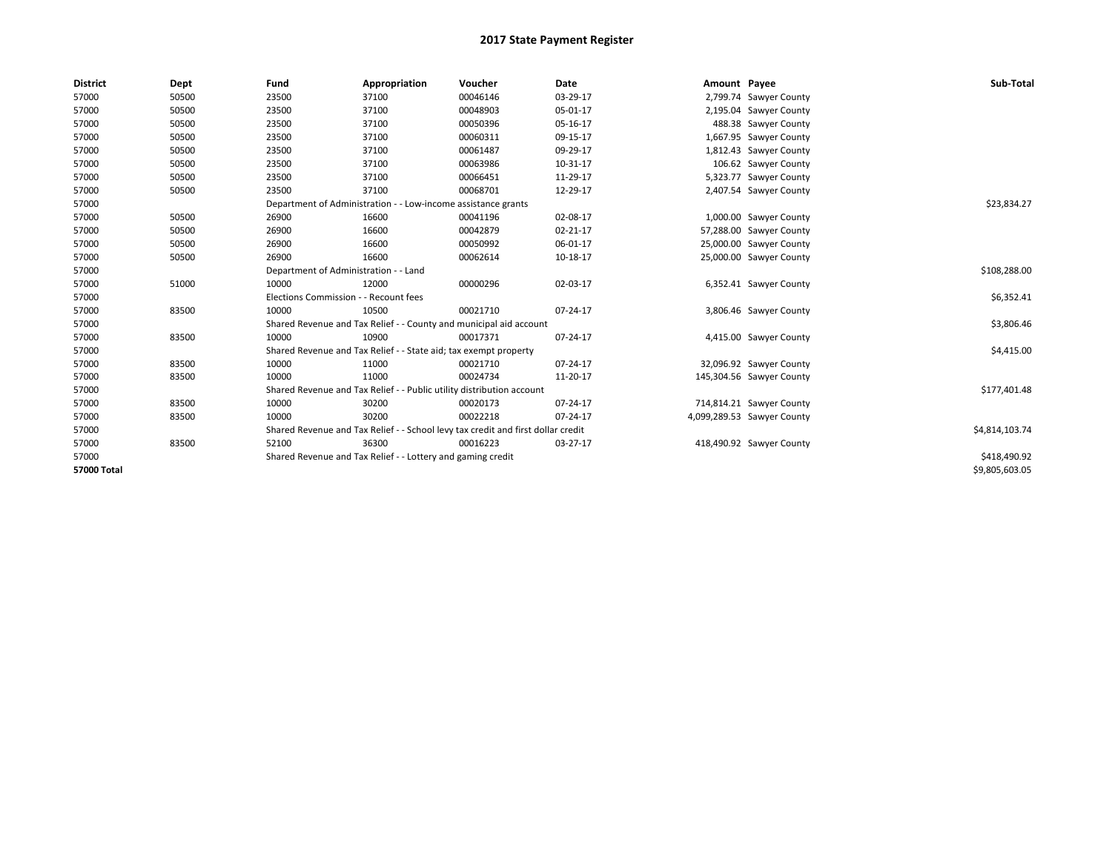| <b>District</b> | Dept  | Fund                                  | Appropriation                                                                    | Voucher  | Date           | Amount Payee |                            | Sub-Total      |
|-----------------|-------|---------------------------------------|----------------------------------------------------------------------------------|----------|----------------|--------------|----------------------------|----------------|
| 57000           | 50500 | 23500                                 | 37100                                                                            | 00046146 | 03-29-17       |              | 2,799.74 Sawyer County     |                |
| 57000           | 50500 | 23500                                 | 37100                                                                            | 00048903 | 05-01-17       |              | 2,195.04 Sawyer County     |                |
| 57000           | 50500 | 23500                                 | 37100                                                                            | 00050396 | 05-16-17       |              | 488.38 Sawyer County       |                |
| 57000           | 50500 | 23500                                 | 37100                                                                            | 00060311 | 09-15-17       |              | 1,667.95 Sawyer County     |                |
| 57000           | 50500 | 23500                                 | 37100                                                                            | 00061487 | 09-29-17       |              | 1,812.43 Sawyer County     |                |
| 57000           | 50500 | 23500                                 | 37100                                                                            | 00063986 | 10-31-17       |              | 106.62 Sawyer County       |                |
| 57000           | 50500 | 23500                                 | 37100                                                                            | 00066451 | 11-29-17       |              | 5,323.77 Sawyer County     |                |
| 57000           | 50500 | 23500                                 | 37100                                                                            | 00068701 | 12-29-17       |              | 2,407.54 Sawyer County     |                |
| 57000           |       |                                       | Department of Administration - - Low-income assistance grants                    |          |                |              |                            | \$23,834.27    |
| 57000           | 50500 | 26900                                 | 16600                                                                            | 00041196 | 02-08-17       |              | 1,000.00 Sawyer County     |                |
| 57000           | 50500 | 26900                                 | 16600                                                                            | 00042879 | 02-21-17       |              | 57,288.00 Sawyer County    |                |
| 57000           | 50500 | 26900                                 | 16600                                                                            | 00050992 | 06-01-17       |              | 25,000.00 Sawyer County    |                |
| 57000           | 50500 | 26900                                 | 16600                                                                            | 00062614 | 10-18-17       |              | 25,000.00 Sawyer County    |                |
| 57000           |       | Department of Administration - - Land |                                                                                  |          |                |              |                            | \$108,288.00   |
| 57000           | 51000 | 10000                                 | 12000                                                                            | 00000296 | 02-03-17       |              | 6,352.41 Sawyer County     |                |
| 57000           |       | Elections Commission - - Recount fees |                                                                                  |          |                |              |                            | \$6,352.41     |
| 57000           | 83500 | 10000                                 | 10500                                                                            | 00021710 | 07-24-17       |              | 3,806.46 Sawyer County     |                |
| 57000           |       |                                       | Shared Revenue and Tax Relief - - County and municipal aid account               |          |                |              |                            | \$3,806.46     |
| 57000           | 83500 | 10000                                 | 10900                                                                            | 00017371 | 07-24-17       |              | 4,415.00 Sawyer County     |                |
| 57000           |       |                                       | Shared Revenue and Tax Relief - - State aid; tax exempt property                 |          |                |              |                            | \$4,415.00     |
| 57000           | 83500 | 10000                                 | 11000                                                                            | 00021710 | $07 - 24 - 17$ |              | 32,096.92 Sawyer County    |                |
| 57000           | 83500 | 10000                                 | 11000                                                                            | 00024734 | 11-20-17       |              | 145,304.56 Sawyer County   |                |
| 57000           |       |                                       | Shared Revenue and Tax Relief - - Public utility distribution account            |          |                |              |                            | \$177,401.48   |
| 57000           | 83500 | 10000                                 | 30200                                                                            | 00020173 | 07-24-17       |              | 714,814.21 Sawyer County   |                |
| 57000           | 83500 | 10000                                 | 30200                                                                            | 00022218 | 07-24-17       |              | 4,099,289.53 Sawyer County |                |
| 57000           |       |                                       | Shared Revenue and Tax Relief - - School levy tax credit and first dollar credit |          |                |              |                            | \$4,814,103.74 |
| 57000           | 83500 | 52100                                 | 36300                                                                            | 00016223 | 03-27-17       |              | 418,490.92 Sawyer County   |                |
| 57000           |       |                                       | Shared Revenue and Tax Relief - - Lottery and gaming credit                      |          |                |              |                            | \$418,490.92   |
| 57000 Total     |       |                                       |                                                                                  |          |                |              |                            | \$9.805.603.05 |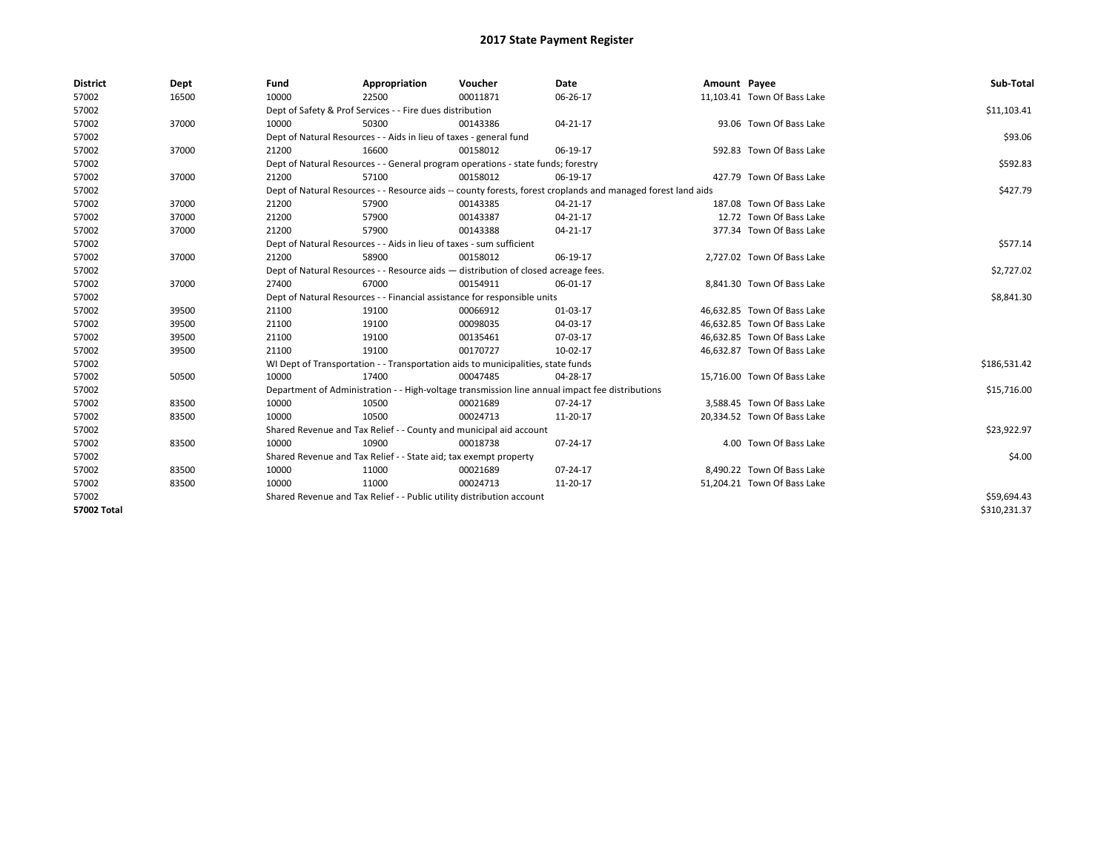| <b>District</b>    | Dept  | Fund                                                                  | Appropriation                                                                      | Voucher  | Date                                                                                                         | Amount Payee |                             | Sub-Total    |
|--------------------|-------|-----------------------------------------------------------------------|------------------------------------------------------------------------------------|----------|--------------------------------------------------------------------------------------------------------------|--------------|-----------------------------|--------------|
| 57002              | 16500 | 10000                                                                 | 22500                                                                              | 00011871 | 06-26-17                                                                                                     |              | 11,103.41 Town Of Bass Lake |              |
| 57002              |       |                                                                       | Dept of Safety & Prof Services - - Fire dues distribution                          |          |                                                                                                              |              |                             | \$11,103.41  |
| 57002              | 37000 | 10000                                                                 | 50300                                                                              | 00143386 | 04-21-17                                                                                                     |              | 93.06 Town Of Bass Lake     |              |
| 57002              |       |                                                                       | Dept of Natural Resources - - Aids in lieu of taxes - general fund                 |          |                                                                                                              |              |                             | \$93.06      |
| 57002              | 37000 | 21200                                                                 | 16600                                                                              | 00158012 | 06-19-17                                                                                                     |              | 592.83 Town Of Bass Lake    |              |
| 57002              |       |                                                                       | Dept of Natural Resources - - General program operations - state funds; forestry   |          |                                                                                                              |              |                             | \$592.83     |
| 57002              | 37000 | 21200                                                                 | 57100                                                                              | 00158012 | 06-19-17                                                                                                     |              | 427.79 Town Of Bass Lake    |              |
| 57002              |       |                                                                       |                                                                                    |          | Dept of Natural Resources - - Resource aids -- county forests, forest croplands and managed forest land aids |              |                             | \$427.79     |
| 57002              | 37000 | 21200                                                                 | 57900                                                                              | 00143385 | 04-21-17                                                                                                     |              | 187.08 Town Of Bass Lake    |              |
| 57002              | 37000 | 21200                                                                 | 57900                                                                              | 00143387 | 04-21-17                                                                                                     |              | 12.72 Town Of Bass Lake     |              |
| 57002              | 37000 | 21200                                                                 | 57900                                                                              | 00143388 | 04-21-17                                                                                                     |              | 377.34 Town Of Bass Lake    |              |
| 57002              |       |                                                                       | Dept of Natural Resources - - Aids in lieu of taxes - sum sufficient               |          |                                                                                                              |              |                             | \$577.14     |
| 57002              | 37000 | 21200                                                                 | 58900                                                                              | 00158012 | 06-19-17                                                                                                     |              | 2,727.02 Town Of Bass Lake  |              |
| 57002              |       |                                                                       | Dept of Natural Resources - - Resource aids - distribution of closed acreage fees. |          |                                                                                                              |              |                             | \$2,727.02   |
| 57002              | 37000 | 27400                                                                 | 67000                                                                              | 00154911 | 06-01-17                                                                                                     |              | 8,841.30 Town Of Bass Lake  |              |
| 57002              |       |                                                                       | Dept of Natural Resources - - Financial assistance for responsible units           |          |                                                                                                              |              |                             | \$8,841.30   |
| 57002              | 39500 | 21100                                                                 | 19100                                                                              | 00066912 | 01-03-17                                                                                                     |              | 46,632.85 Town Of Bass Lake |              |
| 57002              | 39500 | 21100                                                                 | 19100                                                                              | 00098035 | 04-03-17                                                                                                     |              | 46,632.85 Town Of Bass Lake |              |
| 57002              | 39500 | 21100                                                                 | 19100                                                                              | 00135461 | 07-03-17                                                                                                     |              | 46,632.85 Town Of Bass Lake |              |
| 57002              | 39500 | 21100                                                                 | 19100                                                                              | 00170727 | 10-02-17                                                                                                     |              | 46,632.87 Town Of Bass Lake |              |
| 57002              |       |                                                                       | WI Dept of Transportation - - Transportation aids to municipalities, state funds   |          |                                                                                                              |              |                             | \$186,531.42 |
| 57002              | 50500 | 10000                                                                 | 17400                                                                              | 00047485 | 04-28-17                                                                                                     |              | 15,716.00 Town Of Bass Lake |              |
| 57002              |       |                                                                       |                                                                                    |          | Department of Administration - - High-voltage transmission line annual impact fee distributions              |              |                             | \$15,716.00  |
| 57002              | 83500 | 10000                                                                 | 10500                                                                              | 00021689 | 07-24-17                                                                                                     |              | 3.588.45 Town Of Bass Lake  |              |
| 57002              | 83500 | 10000                                                                 | 10500                                                                              | 00024713 | 11-20-17                                                                                                     |              | 20,334.52 Town Of Bass Lake |              |
| 57002              |       |                                                                       | Shared Revenue and Tax Relief - - County and municipal aid account                 |          |                                                                                                              |              |                             | \$23,922.97  |
| 57002              | 83500 | 10000                                                                 | 10900                                                                              | 00018738 | 07-24-17                                                                                                     |              | 4.00 Town Of Bass Lake      |              |
| 57002              |       |                                                                       | Shared Revenue and Tax Relief - - State aid; tax exempt property                   |          |                                                                                                              |              |                             | \$4.00       |
| 57002              | 83500 | 10000                                                                 | 11000                                                                              | 00021689 | 07-24-17                                                                                                     |              | 8,490.22 Town Of Bass Lake  |              |
| 57002              | 83500 | 10000                                                                 | 11000                                                                              | 00024713 | 11-20-17                                                                                                     |              | 51,204.21 Town Of Bass Lake |              |
| 57002              |       | Shared Revenue and Tax Relief - - Public utility distribution account |                                                                                    |          |                                                                                                              |              |                             | \$59,694.43  |
| <b>57002 Total</b> |       |                                                                       |                                                                                    |          |                                                                                                              |              |                             | \$310,231.37 |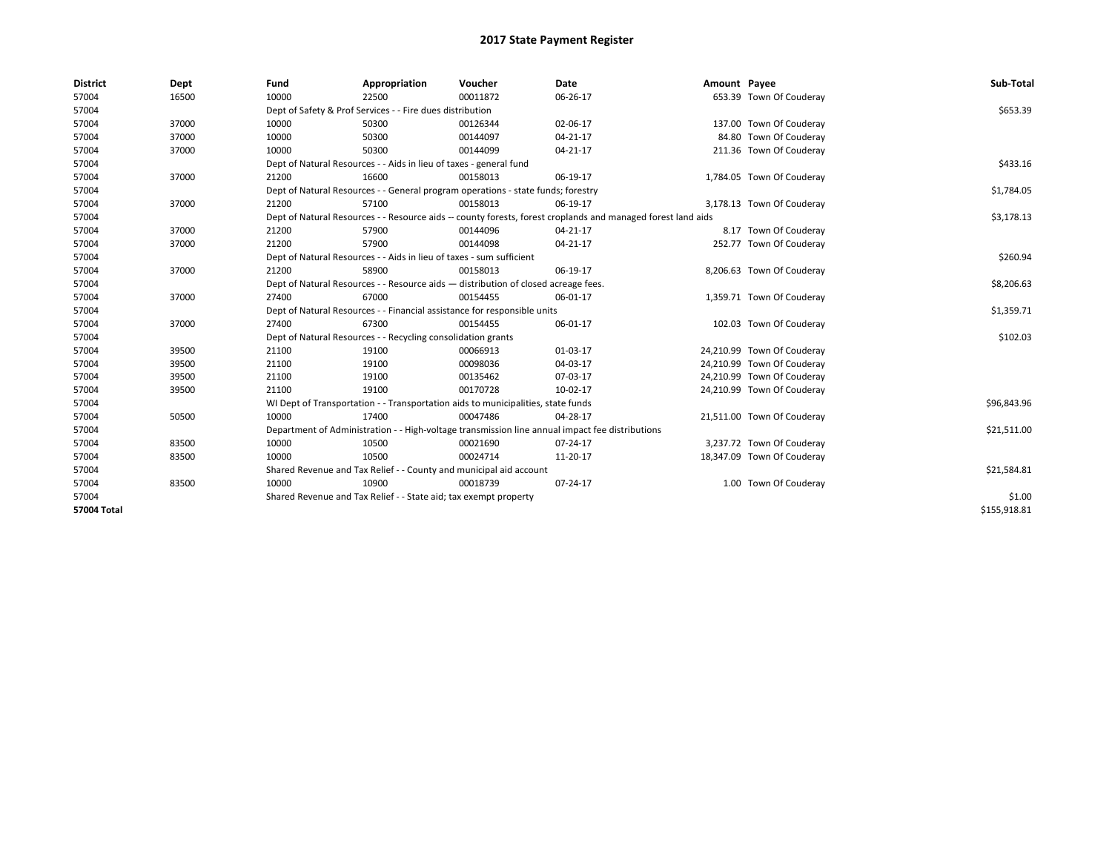| <b>District</b>    | Dept  | Fund  | Appropriation                                                                      | Voucher  | Date                                                                                                         | Amount Payee |                            | Sub-Total    |
|--------------------|-------|-------|------------------------------------------------------------------------------------|----------|--------------------------------------------------------------------------------------------------------------|--------------|----------------------------|--------------|
| 57004              | 16500 | 10000 | 22500                                                                              | 00011872 | 06-26-17                                                                                                     |              | 653.39 Town Of Couderay    |              |
| 57004              |       |       | Dept of Safety & Prof Services - - Fire dues distribution                          |          |                                                                                                              |              |                            | \$653.39     |
| 57004              | 37000 | 10000 | 50300                                                                              | 00126344 | 02-06-17                                                                                                     |              | 137.00 Town Of Couderay    |              |
| 57004              | 37000 | 10000 | 50300                                                                              | 00144097 | 04-21-17                                                                                                     |              | 84.80 Town Of Couderay     |              |
| 57004              | 37000 | 10000 | 50300                                                                              | 00144099 | 04-21-17                                                                                                     |              | 211.36 Town Of Couderay    |              |
| 57004              |       |       | Dept of Natural Resources - - Aids in lieu of taxes - general fund                 |          |                                                                                                              |              |                            | \$433.16     |
| 57004              | 37000 | 21200 | 16600                                                                              | 00158013 | 06-19-17                                                                                                     |              | 1,784.05 Town Of Couderay  |              |
| 57004              |       |       | Dept of Natural Resources - - General program operations - state funds; forestry   |          |                                                                                                              |              |                            | \$1,784.05   |
| 57004              | 37000 | 21200 | 57100                                                                              | 00158013 | 06-19-17                                                                                                     |              | 3,178.13 Town Of Couderay  |              |
| 57004              |       |       |                                                                                    |          | Dept of Natural Resources - - Resource aids -- county forests, forest croplands and managed forest land aids |              |                            | \$3,178.13   |
| 57004              | 37000 | 21200 | 57900                                                                              | 00144096 | $04 - 21 - 17$                                                                                               |              | 8.17 Town Of Couderay      |              |
| 57004              | 37000 | 21200 | 57900                                                                              | 00144098 | 04-21-17                                                                                                     |              | 252.77 Town Of Couderay    |              |
| 57004              |       |       | Dept of Natural Resources - - Aids in lieu of taxes - sum sufficient               |          |                                                                                                              |              |                            | \$260.94     |
| 57004              | 37000 | 21200 | 58900                                                                              | 00158013 | 06-19-17                                                                                                     |              | 8,206.63 Town Of Couderay  |              |
| 57004              |       |       | Dept of Natural Resources - - Resource aids - distribution of closed acreage fees. |          |                                                                                                              |              |                            | \$8,206.63   |
| 57004              | 37000 | 27400 | 67000                                                                              | 00154455 | 06-01-17                                                                                                     |              | 1,359.71 Town Of Couderay  |              |
| 57004              |       |       | Dept of Natural Resources - - Financial assistance for responsible units           |          |                                                                                                              |              |                            | \$1,359.71   |
| 57004              | 37000 | 27400 | 67300                                                                              | 00154455 | 06-01-17                                                                                                     |              | 102.03 Town Of Couderay    |              |
| 57004              |       |       | Dept of Natural Resources - - Recycling consolidation grants                       |          |                                                                                                              |              |                            | \$102.03     |
| 57004              | 39500 | 21100 | 19100                                                                              | 00066913 | 01-03-17                                                                                                     |              | 24,210.99 Town Of Couderay |              |
| 57004              | 39500 | 21100 | 19100                                                                              | 00098036 | 04-03-17                                                                                                     |              | 24,210.99 Town Of Couderay |              |
| 57004              | 39500 | 21100 | 19100                                                                              | 00135462 | 07-03-17                                                                                                     |              | 24,210.99 Town Of Couderay |              |
| 57004              | 39500 | 21100 | 19100                                                                              | 00170728 | 10-02-17                                                                                                     |              | 24,210.99 Town Of Couderay |              |
| 57004              |       |       | WI Dept of Transportation - - Transportation aids to municipalities, state funds   |          |                                                                                                              |              |                            | \$96,843.96  |
| 57004              | 50500 | 10000 | 17400                                                                              | 00047486 | 04-28-17                                                                                                     |              | 21,511.00 Town Of Couderay |              |
| 57004              |       |       |                                                                                    |          | Department of Administration - - High-voltage transmission line annual impact fee distributions              |              |                            | \$21,511.00  |
| 57004              | 83500 | 10000 | 10500                                                                              | 00021690 | 07-24-17                                                                                                     |              | 3,237.72 Town Of Couderay  |              |
| 57004              | 83500 | 10000 | 10500                                                                              | 00024714 | 11-20-17                                                                                                     |              | 18,347.09 Town Of Couderay |              |
| 57004              |       |       | Shared Revenue and Tax Relief - - County and municipal aid account                 |          |                                                                                                              |              |                            | \$21,584.81  |
| 57004              | 83500 | 10000 | 10900                                                                              | 00018739 | 07-24-17                                                                                                     |              | 1.00 Town Of Couderay      |              |
| 57004              |       |       | Shared Revenue and Tax Relief - - State aid; tax exempt property                   |          |                                                                                                              |              |                            | \$1.00       |
| <b>57004 Total</b> |       |       |                                                                                    |          |                                                                                                              |              |                            | \$155,918.81 |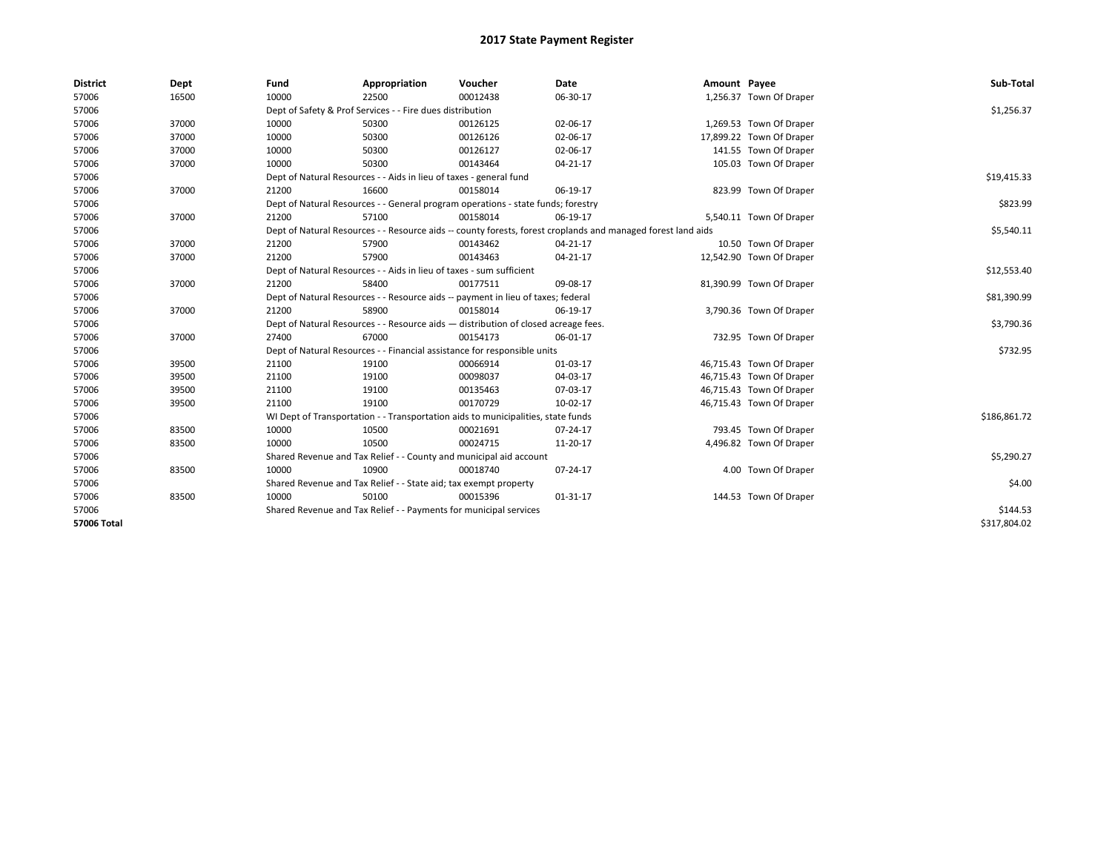| <b>District</b> | Dept  | Fund  | Appropriation                                                                      | Voucher  | Date                                                                                                         | Amount Payee |                          | Sub-Total    |
|-----------------|-------|-------|------------------------------------------------------------------------------------|----------|--------------------------------------------------------------------------------------------------------------|--------------|--------------------------|--------------|
| 57006           | 16500 | 10000 | 22500                                                                              | 00012438 | 06-30-17                                                                                                     |              | 1,256.37 Town Of Draper  |              |
| 57006           |       |       | Dept of Safety & Prof Services - - Fire dues distribution                          |          |                                                                                                              |              |                          | \$1,256.37   |
| 57006           | 37000 | 10000 | 50300                                                                              | 00126125 | 02-06-17                                                                                                     |              | 1,269.53 Town Of Draper  |              |
| 57006           | 37000 | 10000 | 50300                                                                              | 00126126 | 02-06-17                                                                                                     |              | 17,899.22 Town Of Draper |              |
| 57006           | 37000 | 10000 | 50300                                                                              | 00126127 | 02-06-17                                                                                                     |              | 141.55 Town Of Draper    |              |
| 57006           | 37000 | 10000 | 50300                                                                              | 00143464 | $04 - 21 - 17$                                                                                               |              | 105.03 Town Of Draper    |              |
| 57006           |       |       | Dept of Natural Resources - - Aids in lieu of taxes - general fund                 |          |                                                                                                              |              |                          | \$19,415.33  |
| 57006           | 37000 | 21200 | 16600                                                                              | 00158014 | 06-19-17                                                                                                     |              | 823.99 Town Of Draper    |              |
| 57006           |       |       | Dept of Natural Resources - - General program operations - state funds; forestry   |          |                                                                                                              |              |                          | \$823.99     |
| 57006           | 37000 | 21200 | 57100                                                                              | 00158014 | 06-19-17                                                                                                     |              | 5,540.11 Town Of Draper  |              |
| 57006           |       |       |                                                                                    |          | Dept of Natural Resources - - Resource aids -- county forests, forest croplands and managed forest land aids |              |                          | \$5,540.11   |
| 57006           | 37000 | 21200 | 57900                                                                              | 00143462 | 04-21-17                                                                                                     |              | 10.50 Town Of Draper     |              |
| 57006           | 37000 | 21200 | 57900                                                                              | 00143463 | 04-21-17                                                                                                     |              | 12,542.90 Town Of Draper |              |
| 57006           |       |       | Dept of Natural Resources - - Aids in lieu of taxes - sum sufficient               |          |                                                                                                              |              |                          | \$12,553.40  |
| 57006           | 37000 | 21200 | 58400                                                                              | 00177511 | 09-08-17                                                                                                     |              | 81,390.99 Town Of Draper |              |
| 57006           |       |       | Dept of Natural Resources - - Resource aids -- payment in lieu of taxes; federal   |          |                                                                                                              |              |                          | \$81,390.99  |
| 57006           | 37000 | 21200 | 58900                                                                              | 00158014 | 06-19-17                                                                                                     |              | 3,790.36 Town Of Draper  |              |
| 57006           |       |       | Dept of Natural Resources - - Resource aids - distribution of closed acreage fees. |          |                                                                                                              |              |                          | \$3,790.36   |
| 57006           | 37000 | 27400 | 67000                                                                              | 00154173 | 06-01-17                                                                                                     |              | 732.95 Town Of Draper    |              |
| 57006           |       |       | Dept of Natural Resources - - Financial assistance for responsible units           |          |                                                                                                              |              |                          | \$732.95     |
| 57006           | 39500 | 21100 | 19100                                                                              | 00066914 | 01-03-17                                                                                                     |              | 46,715.43 Town Of Draper |              |
| 57006           | 39500 | 21100 | 19100                                                                              | 00098037 | 04-03-17                                                                                                     |              | 46,715.43 Town Of Draper |              |
| 57006           | 39500 | 21100 | 19100                                                                              | 00135463 | 07-03-17                                                                                                     |              | 46,715.43 Town Of Draper |              |
| 57006           | 39500 | 21100 | 19100                                                                              | 00170729 | 10-02-17                                                                                                     |              | 46,715.43 Town Of Draper |              |
| 57006           |       |       | WI Dept of Transportation - - Transportation aids to municipalities, state funds   |          |                                                                                                              |              |                          | \$186,861.72 |
| 57006           | 83500 | 10000 | 10500                                                                              | 00021691 | 07-24-17                                                                                                     |              | 793.45 Town Of Draper    |              |
| 57006           | 83500 | 10000 | 10500                                                                              | 00024715 | 11-20-17                                                                                                     |              | 4,496.82 Town Of Draper  |              |
| 57006           |       |       | Shared Revenue and Tax Relief - - County and municipal aid account                 |          |                                                                                                              |              |                          | \$5,290.27   |
| 57006           | 83500 | 10000 | 10900                                                                              | 00018740 | 07-24-17                                                                                                     |              | 4.00 Town Of Draper      |              |
| 57006           |       |       | Shared Revenue and Tax Relief - - State aid; tax exempt property                   |          |                                                                                                              |              |                          | \$4.00       |
| 57006           | 83500 | 10000 | 50100                                                                              | 00015396 | 01-31-17                                                                                                     |              | 144.53 Town Of Draper    |              |
| 57006           |       |       | Shared Revenue and Tax Relief - - Payments for municipal services                  |          |                                                                                                              |              |                          | \$144.53     |
| 57006 Total     |       |       |                                                                                    |          |                                                                                                              |              |                          | \$317,804.02 |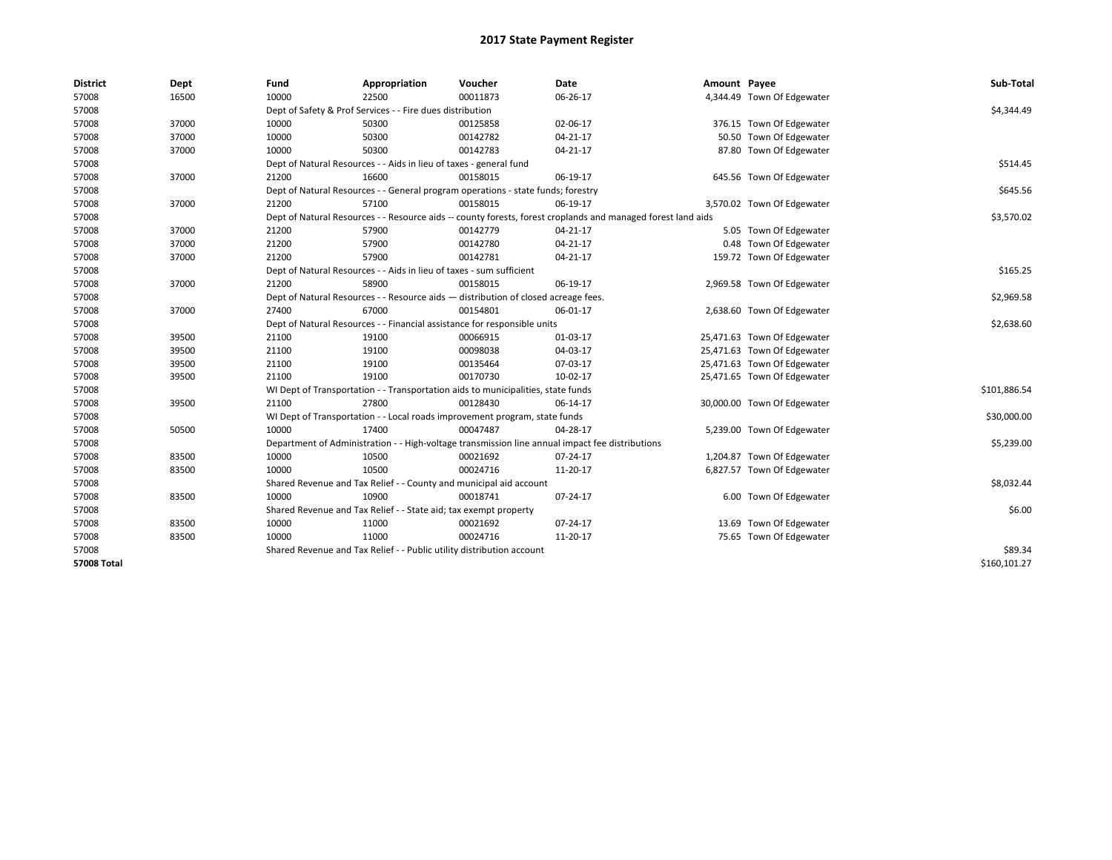| <b>District</b>    | Dept  | Fund  | Appropriation                                                                      | Voucher  | Date                                                                                                         | Amount Payee |                             | Sub-Total    |
|--------------------|-------|-------|------------------------------------------------------------------------------------|----------|--------------------------------------------------------------------------------------------------------------|--------------|-----------------------------|--------------|
| 57008              | 16500 | 10000 | 22500                                                                              | 00011873 | 06-26-17                                                                                                     |              | 4,344.49 Town Of Edgewater  |              |
| 57008              |       |       | Dept of Safety & Prof Services - - Fire dues distribution                          |          |                                                                                                              |              |                             | \$4,344.49   |
| 57008              | 37000 | 10000 | 50300                                                                              | 00125858 | 02-06-17                                                                                                     |              | 376.15 Town Of Edgewater    |              |
| 57008              | 37000 | 10000 | 50300                                                                              | 00142782 | $04 - 21 - 17$                                                                                               |              | 50.50 Town Of Edgewater     |              |
| 57008              | 37000 | 10000 | 50300                                                                              | 00142783 | 04-21-17                                                                                                     |              | 87.80 Town Of Edgewater     |              |
| 57008              |       |       | Dept of Natural Resources - - Aids in lieu of taxes - general fund                 |          |                                                                                                              |              |                             | \$514.45     |
| 57008              | 37000 | 21200 | 16600                                                                              | 00158015 | 06-19-17                                                                                                     |              | 645.56 Town Of Edgewater    |              |
| 57008              |       |       | Dept of Natural Resources - - General program operations - state funds; forestry   |          |                                                                                                              |              |                             | \$645.56     |
| 57008              | 37000 | 21200 | 57100                                                                              | 00158015 | 06-19-17                                                                                                     |              | 3,570.02 Town Of Edgewater  |              |
| 57008              |       |       |                                                                                    |          | Dept of Natural Resources - - Resource aids -- county forests, forest croplands and managed forest land aids |              |                             | \$3,570.02   |
| 57008              | 37000 | 21200 | 57900                                                                              | 00142779 | 04-21-17                                                                                                     |              | 5.05 Town Of Edgewater      |              |
| 57008              | 37000 | 21200 | 57900                                                                              | 00142780 | 04-21-17                                                                                                     |              | 0.48 Town Of Edgewater      |              |
| 57008              | 37000 | 21200 | 57900                                                                              | 00142781 | $04 - 21 - 17$                                                                                               |              | 159.72 Town Of Edgewater    |              |
| 57008              |       |       | Dept of Natural Resources - - Aids in lieu of taxes - sum sufficient               |          |                                                                                                              |              |                             | \$165.25     |
| 57008              | 37000 | 21200 | 58900                                                                              | 00158015 | 06-19-17                                                                                                     |              | 2,969.58 Town Of Edgewater  |              |
| 57008              |       |       | Dept of Natural Resources - - Resource aids - distribution of closed acreage fees. |          |                                                                                                              |              |                             | \$2,969.58   |
| 57008              | 37000 | 27400 | 67000                                                                              | 00154801 | 06-01-17                                                                                                     |              | 2,638.60 Town Of Edgewater  |              |
| 57008              |       |       | Dept of Natural Resources - - Financial assistance for responsible units           |          |                                                                                                              |              |                             | \$2,638.60   |
| 57008              | 39500 | 21100 | 19100                                                                              | 00066915 | 01-03-17                                                                                                     |              | 25,471.63 Town Of Edgewater |              |
| 57008              | 39500 | 21100 | 19100                                                                              | 00098038 | 04-03-17                                                                                                     |              | 25,471.63 Town Of Edgewater |              |
| 57008              | 39500 | 21100 | 19100                                                                              | 00135464 | 07-03-17                                                                                                     |              | 25,471.63 Town Of Edgewater |              |
| 57008              | 39500 | 21100 | 19100                                                                              | 00170730 | 10-02-17                                                                                                     |              | 25,471.65 Town Of Edgewater |              |
| 57008              |       |       | WI Dept of Transportation - - Transportation aids to municipalities, state funds   |          |                                                                                                              |              |                             | \$101,886.54 |
| 57008              | 39500 | 21100 | 27800                                                                              | 00128430 | 06-14-17                                                                                                     |              | 30,000.00 Town Of Edgewater |              |
| 57008              |       |       | WI Dept of Transportation - - Local roads improvement program, state funds         |          |                                                                                                              |              |                             | \$30,000.00  |
| 57008              | 50500 | 10000 | 17400                                                                              | 00047487 | 04-28-17                                                                                                     |              | 5,239.00 Town Of Edgewater  |              |
| 57008              |       |       |                                                                                    |          | Department of Administration - - High-voltage transmission line annual impact fee distributions              |              |                             | \$5,239.00   |
| 57008              | 83500 | 10000 | 10500                                                                              | 00021692 | 07-24-17                                                                                                     |              | 1,204.87 Town Of Edgewater  |              |
| 57008              | 83500 | 10000 | 10500                                                                              | 00024716 | 11-20-17                                                                                                     |              | 6,827.57 Town Of Edgewater  |              |
| 57008              |       |       | Shared Revenue and Tax Relief - - County and municipal aid account                 |          |                                                                                                              |              |                             | \$8,032.44   |
| 57008              | 83500 | 10000 | 10900                                                                              | 00018741 | 07-24-17                                                                                                     |              | 6.00 Town Of Edgewater      |              |
| 57008              |       |       | Shared Revenue and Tax Relief - - State aid; tax exempt property                   |          |                                                                                                              |              |                             | \$6.00       |
| 57008              | 83500 | 10000 | 11000                                                                              | 00021692 | 07-24-17                                                                                                     |              | 13.69 Town Of Edgewater     |              |
| 57008              | 83500 | 10000 | 11000                                                                              | 00024716 | 11-20-17                                                                                                     |              | 75.65 Town Of Edgewater     |              |
| 57008              |       |       | Shared Revenue and Tax Relief - - Public utility distribution account              |          |                                                                                                              |              |                             | \$89.34      |
| <b>57008 Total</b> |       |       |                                                                                    |          |                                                                                                              |              |                             | \$160,101.27 |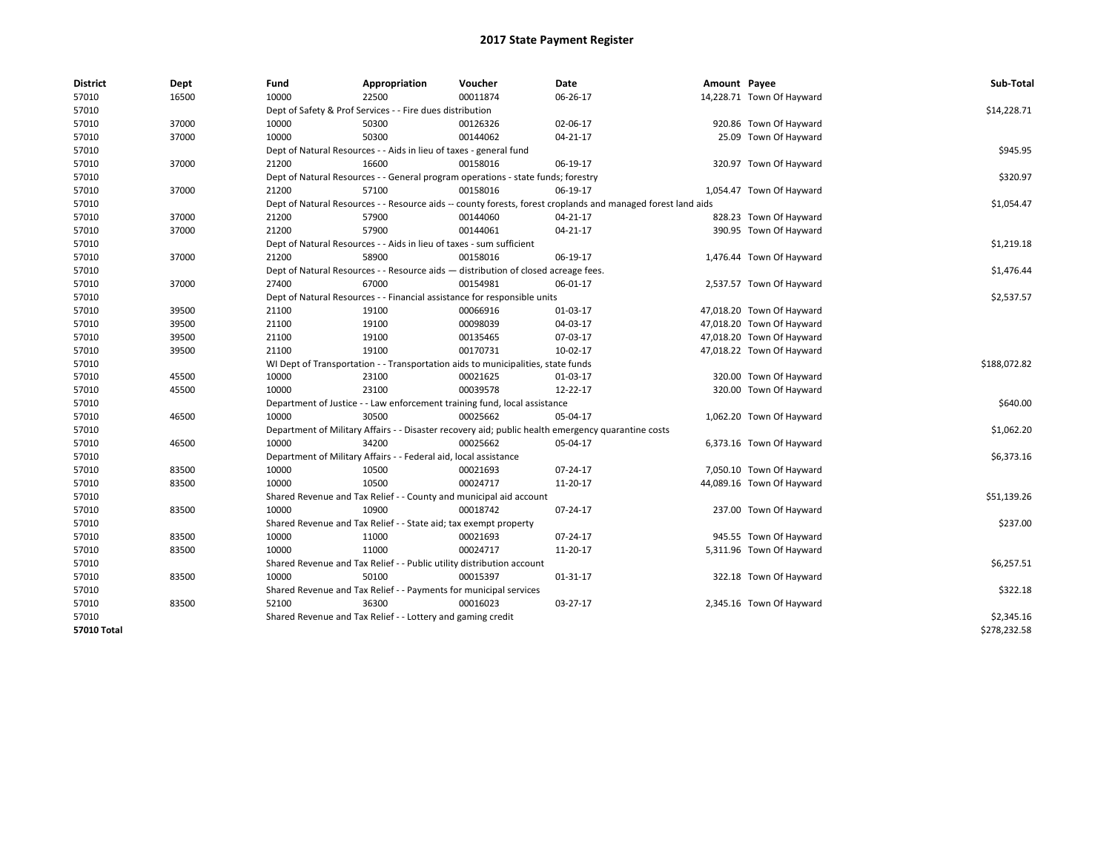| <b>District</b> | Dept  | Fund  | Appropriation                                                                      | Voucher  | Date                                                                                                         | Amount Payee |                           | Sub-Total    |
|-----------------|-------|-------|------------------------------------------------------------------------------------|----------|--------------------------------------------------------------------------------------------------------------|--------------|---------------------------|--------------|
| 57010           | 16500 | 10000 | 22500                                                                              | 00011874 | 06-26-17                                                                                                     |              | 14,228.71 Town Of Hayward |              |
| 57010           |       |       | Dept of Safety & Prof Services - - Fire dues distribution                          |          |                                                                                                              |              |                           | \$14,228.71  |
| 57010           | 37000 | 10000 | 50300                                                                              | 00126326 | 02-06-17                                                                                                     |              | 920.86 Town Of Hayward    |              |
| 57010           | 37000 | 10000 | 50300                                                                              | 00144062 | 04-21-17                                                                                                     |              | 25.09 Town Of Hayward     |              |
| 57010           |       |       | Dept of Natural Resources - - Aids in lieu of taxes - general fund                 |          |                                                                                                              |              |                           | \$945.95     |
| 57010           | 37000 | 21200 | 16600                                                                              | 00158016 | 06-19-17                                                                                                     |              | 320.97 Town Of Hayward    |              |
| 57010           |       |       | Dept of Natural Resources - - General program operations - state funds; forestry   |          |                                                                                                              |              |                           | \$320.97     |
| 57010           | 37000 | 21200 | 57100                                                                              | 00158016 | 06-19-17                                                                                                     |              | 1,054.47 Town Of Hayward  |              |
| 57010           |       |       |                                                                                    |          | Dept of Natural Resources - - Resource aids -- county forests, forest croplands and managed forest land aids |              |                           | \$1,054.47   |
| 57010           | 37000 | 21200 | 57900                                                                              | 00144060 | 04-21-17                                                                                                     |              | 828.23 Town Of Hayward    |              |
| 57010           | 37000 | 21200 | 57900                                                                              | 00144061 | 04-21-17                                                                                                     |              | 390.95 Town Of Hayward    |              |
| 57010           |       |       | Dept of Natural Resources - - Aids in lieu of taxes - sum sufficient               |          |                                                                                                              |              |                           | \$1,219.18   |
| 57010           | 37000 | 21200 | 58900                                                                              | 00158016 | 06-19-17                                                                                                     |              | 1,476.44 Town Of Hayward  |              |
| 57010           |       |       | Dept of Natural Resources - - Resource aids - distribution of closed acreage fees. |          |                                                                                                              |              |                           | \$1,476.44   |
| 57010           | 37000 | 27400 | 67000                                                                              | 00154981 | 06-01-17                                                                                                     |              | 2,537.57 Town Of Hayward  |              |
| 57010           |       |       | Dept of Natural Resources - - Financial assistance for responsible units           |          |                                                                                                              |              |                           | \$2,537.57   |
| 57010           | 39500 | 21100 | 19100                                                                              | 00066916 | 01-03-17                                                                                                     |              | 47,018.20 Town Of Hayward |              |
| 57010           | 39500 | 21100 | 19100                                                                              | 00098039 | 04-03-17                                                                                                     |              | 47,018.20 Town Of Hayward |              |
| 57010           | 39500 | 21100 | 19100                                                                              | 00135465 | 07-03-17                                                                                                     |              | 47,018.20 Town Of Hayward |              |
| 57010           | 39500 | 21100 | 19100                                                                              | 00170731 | 10-02-17                                                                                                     |              | 47,018.22 Town Of Hayward |              |
| 57010           |       |       | WI Dept of Transportation - - Transportation aids to municipalities, state funds   |          |                                                                                                              |              |                           | \$188,072.82 |
| 57010           | 45500 | 10000 | 23100                                                                              | 00021625 | 01-03-17                                                                                                     |              | 320.00 Town Of Hayward    |              |
| 57010           | 45500 | 10000 | 23100                                                                              | 00039578 | 12-22-17                                                                                                     |              | 320.00 Town Of Hayward    |              |
| 57010           |       |       | Department of Justice - - Law enforcement training fund, local assistance          |          |                                                                                                              |              |                           | \$640.00     |
| 57010           | 46500 | 10000 | 30500                                                                              | 00025662 | 05-04-17                                                                                                     |              | 1,062.20 Town Of Hayward  |              |
| 57010           |       |       |                                                                                    |          | Department of Military Affairs - - Disaster recovery aid; public health emergency quarantine costs           |              |                           | \$1,062.20   |
| 57010           | 46500 | 10000 | 34200                                                                              | 00025662 | 05-04-17                                                                                                     |              | 6,373.16 Town Of Hayward  |              |
| 57010           |       |       | Department of Military Affairs - - Federal aid, local assistance                   |          |                                                                                                              |              |                           | \$6,373.16   |
| 57010           | 83500 | 10000 | 10500                                                                              | 00021693 | 07-24-17                                                                                                     |              | 7,050.10 Town Of Hayward  |              |
| 57010           | 83500 | 10000 | 10500                                                                              | 00024717 | 11-20-17                                                                                                     |              | 44,089.16 Town Of Hayward |              |
| 57010           |       |       | Shared Revenue and Tax Relief - - County and municipal aid account                 |          |                                                                                                              |              |                           | \$51,139.26  |
| 57010           | 83500 | 10000 | 10900                                                                              | 00018742 | 07-24-17                                                                                                     |              | 237.00 Town Of Hayward    |              |
| 57010           |       |       | Shared Revenue and Tax Relief - - State aid; tax exempt property                   |          |                                                                                                              |              |                           | \$237.00     |
| 57010           | 83500 | 10000 | 11000                                                                              | 00021693 | 07-24-17                                                                                                     |              | 945.55 Town Of Hayward    |              |
| 57010           | 83500 | 10000 | 11000                                                                              | 00024717 | 11-20-17                                                                                                     |              | 5,311.96 Town Of Hayward  |              |
|                 |       |       | Shared Revenue and Tax Relief - - Public utility distribution account              |          |                                                                                                              |              |                           | \$6,257.51   |
| 57010           |       |       |                                                                                    |          |                                                                                                              |              |                           |              |
| 57010           | 83500 | 10000 | 50100                                                                              | 00015397 | 01-31-17                                                                                                     |              | 322.18 Town Of Hayward    |              |
| 57010           |       |       | Shared Revenue and Tax Relief - - Payments for municipal services                  |          |                                                                                                              |              |                           | \$322.18     |
| 57010           | 83500 | 52100 | 36300                                                                              | 00016023 | 03-27-17                                                                                                     |              | 2,345.16 Town Of Hayward  |              |
| 57010           |       |       | Shared Revenue and Tax Relief - - Lottery and gaming credit                        |          |                                                                                                              |              |                           | \$2,345.16   |
| 57010 Total     |       |       |                                                                                    |          |                                                                                                              |              |                           | \$278,232.58 |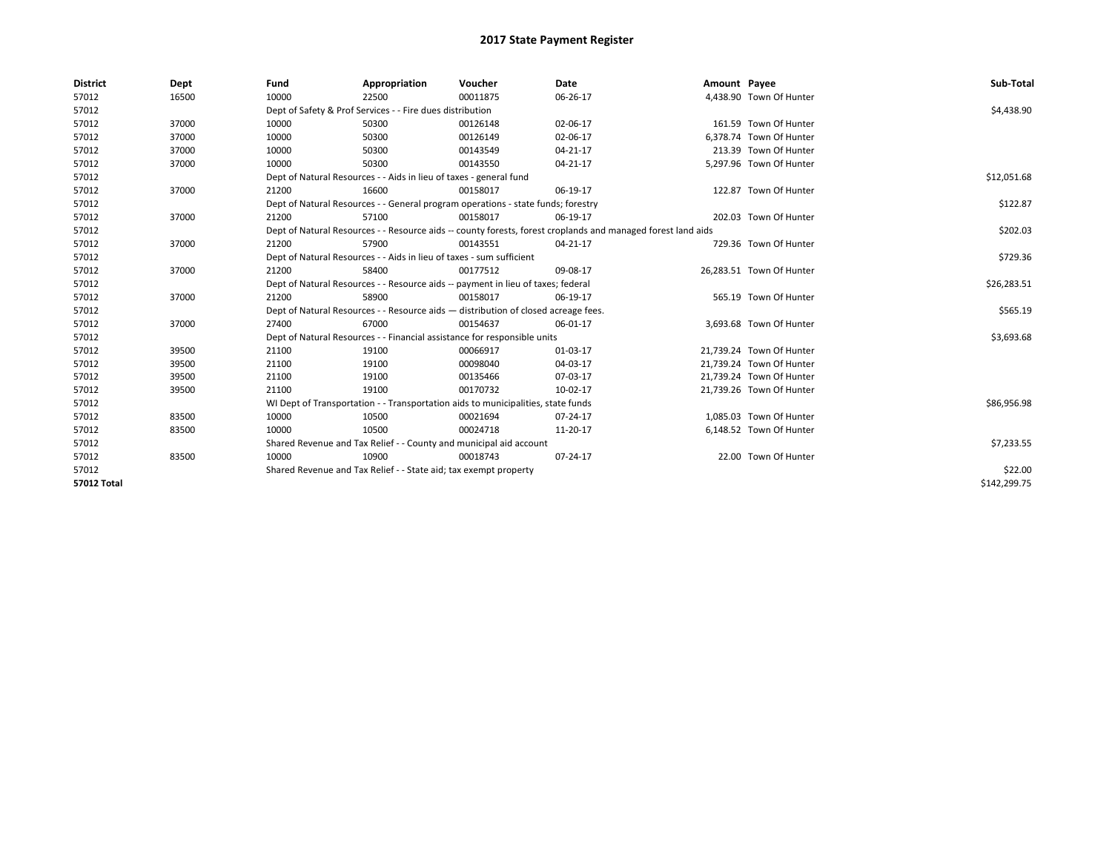| <b>District</b>    | Dept  | Fund  | Appropriation                                                                      | Voucher  | Date                                                                                                         | Amount Payee |                          | Sub-Total    |
|--------------------|-------|-------|------------------------------------------------------------------------------------|----------|--------------------------------------------------------------------------------------------------------------|--------------|--------------------------|--------------|
| 57012              | 16500 | 10000 | 22500                                                                              | 00011875 | 06-26-17                                                                                                     |              | 4,438.90 Town Of Hunter  |              |
| 57012              |       |       | Dept of Safety & Prof Services - - Fire dues distribution                          |          |                                                                                                              |              |                          | \$4,438.90   |
| 57012              | 37000 | 10000 | 50300                                                                              | 00126148 | 02-06-17                                                                                                     |              | 161.59 Town Of Hunter    |              |
| 57012              | 37000 | 10000 | 50300                                                                              | 00126149 | 02-06-17                                                                                                     |              | 6.378.74 Town Of Hunter  |              |
| 57012              | 37000 | 10000 | 50300                                                                              | 00143549 | $04 - 21 - 17$                                                                                               |              | 213.39 Town Of Hunter    |              |
| 57012              | 37000 | 10000 | 50300                                                                              | 00143550 | $04 - 21 - 17$                                                                                               |              | 5,297.96 Town Of Hunter  |              |
| 57012              |       |       | Dept of Natural Resources - - Aids in lieu of taxes - general fund                 |          |                                                                                                              |              |                          | \$12,051.68  |
| 57012              | 37000 | 21200 | 16600                                                                              | 00158017 | 06-19-17                                                                                                     |              | 122.87 Town Of Hunter    |              |
| 57012              |       |       | Dept of Natural Resources - - General program operations - state funds; forestry   |          |                                                                                                              |              |                          | \$122.87     |
| 57012              | 37000 | 21200 | 57100                                                                              | 00158017 | 06-19-17                                                                                                     |              | 202.03 Town Of Hunter    |              |
| 57012              |       |       |                                                                                    |          | Dept of Natural Resources - - Resource aids -- county forests, forest croplands and managed forest land aids |              |                          | \$202.03     |
| 57012              | 37000 | 21200 | 57900                                                                              | 00143551 | 04-21-17                                                                                                     |              | 729.36 Town Of Hunter    |              |
| 57012              |       |       | Dept of Natural Resources - - Aids in lieu of taxes - sum sufficient               |          |                                                                                                              |              |                          | \$729.36     |
| 57012              | 37000 | 21200 | 58400                                                                              | 00177512 | 09-08-17                                                                                                     |              | 26,283.51 Town Of Hunter |              |
| 57012              |       |       | Dept of Natural Resources - - Resource aids -- payment in lieu of taxes; federal   |          |                                                                                                              |              |                          | \$26,283.51  |
| 57012              | 37000 | 21200 | 58900                                                                              | 00158017 | 06-19-17                                                                                                     |              | 565.19 Town Of Hunter    |              |
| 57012              |       |       | Dept of Natural Resources - - Resource aids - distribution of closed acreage fees. |          |                                                                                                              |              |                          | \$565.19     |
| 57012              | 37000 | 27400 | 67000                                                                              | 00154637 | 06-01-17                                                                                                     |              | 3,693.68 Town Of Hunter  |              |
| 57012              |       |       | Dept of Natural Resources - - Financial assistance for responsible units           |          |                                                                                                              |              |                          | \$3,693.68   |
| 57012              | 39500 | 21100 | 19100                                                                              | 00066917 | 01-03-17                                                                                                     |              | 21,739.24 Town Of Hunter |              |
| 57012              | 39500 | 21100 | 19100                                                                              | 00098040 | 04-03-17                                                                                                     |              | 21,739.24 Town Of Hunter |              |
| 57012              | 39500 | 21100 | 19100                                                                              | 00135466 | 07-03-17                                                                                                     |              | 21,739.24 Town Of Hunter |              |
| 57012              | 39500 | 21100 | 19100                                                                              | 00170732 | 10-02-17                                                                                                     |              | 21,739.26 Town Of Hunter |              |
| 57012              |       |       | WI Dept of Transportation - - Transportation aids to municipalities, state funds   |          |                                                                                                              |              |                          | \$86,956.98  |
| 57012              | 83500 | 10000 | 10500                                                                              | 00021694 | 07-24-17                                                                                                     |              | 1,085.03 Town Of Hunter  |              |
| 57012              | 83500 | 10000 | 10500                                                                              | 00024718 | 11-20-17                                                                                                     |              | 6,148.52 Town Of Hunter  |              |
| 57012              |       |       | Shared Revenue and Tax Relief - - County and municipal aid account                 |          |                                                                                                              |              |                          | \$7,233.55   |
| 57012              | 83500 | 10000 | 10900                                                                              | 00018743 | 07-24-17                                                                                                     |              | 22.00 Town Of Hunter     |              |
| 57012              |       |       | Shared Revenue and Tax Relief - - State aid; tax exempt property                   |          |                                                                                                              |              |                          | \$22.00      |
| <b>57012 Total</b> |       |       |                                                                                    |          |                                                                                                              |              |                          | \$142,299.75 |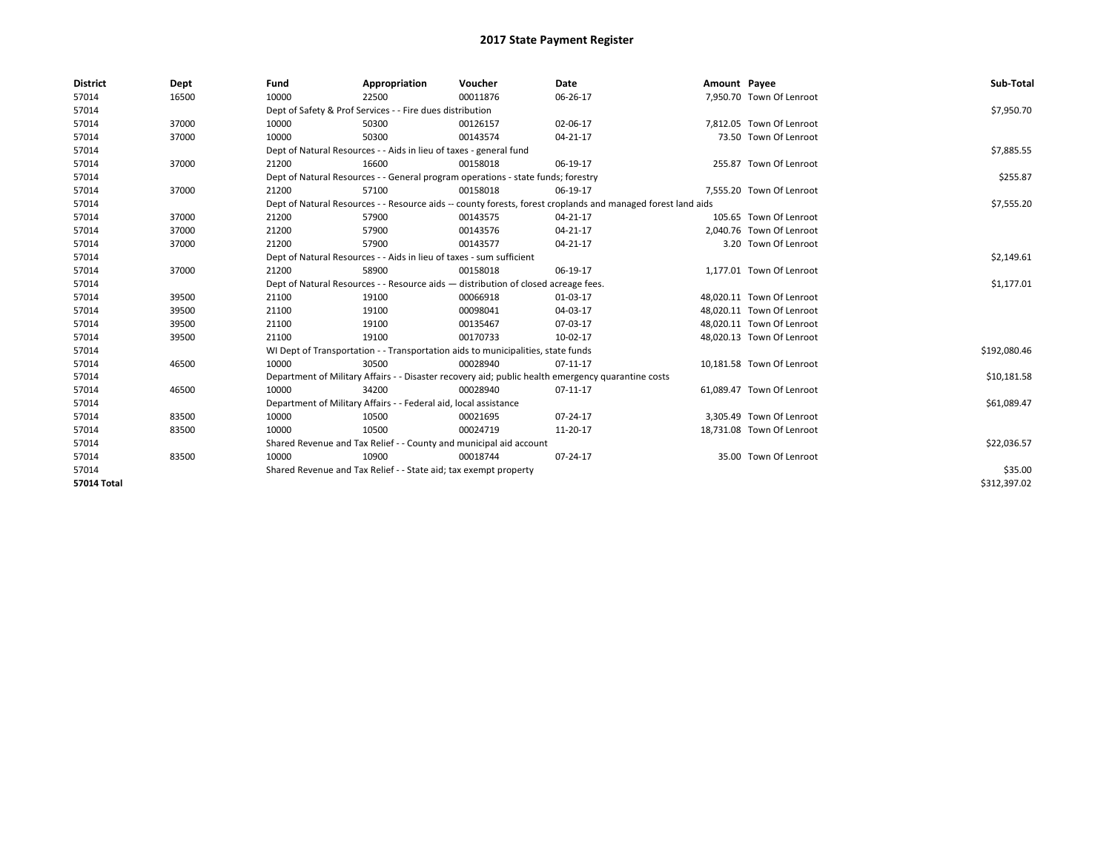| <b>District</b> | Dept  | Fund  | Appropriation                                                                      | Voucher  | Date                                                                                                         | Amount Payee |                           | Sub-Total    |
|-----------------|-------|-------|------------------------------------------------------------------------------------|----------|--------------------------------------------------------------------------------------------------------------|--------------|---------------------------|--------------|
| 57014           | 16500 | 10000 | 22500                                                                              | 00011876 | 06-26-17                                                                                                     |              | 7,950.70 Town Of Lenroot  |              |
| 57014           |       |       | Dept of Safety & Prof Services - - Fire dues distribution                          |          |                                                                                                              |              |                           | \$7,950.70   |
| 57014           | 37000 | 10000 | 50300                                                                              | 00126157 | 02-06-17                                                                                                     |              | 7.812.05 Town Of Lenroot  |              |
| 57014           | 37000 | 10000 | 50300                                                                              | 00143574 | 04-21-17                                                                                                     |              | 73.50 Town Of Lenroot     |              |
| 57014           |       |       | Dept of Natural Resources - - Aids in lieu of taxes - general fund                 |          |                                                                                                              |              |                           | \$7,885.55   |
| 57014           | 37000 | 21200 | 16600                                                                              | 00158018 | 06-19-17                                                                                                     |              | 255.87 Town Of Lenroot    |              |
| 57014           |       |       | Dept of Natural Resources - - General program operations - state funds; forestry   |          |                                                                                                              |              |                           | \$255.87     |
| 57014           | 37000 | 21200 | 57100                                                                              | 00158018 | 06-19-17                                                                                                     |              | 7,555.20 Town Of Lenroot  |              |
| 57014           |       |       |                                                                                    |          | Dept of Natural Resources - - Resource aids -- county forests, forest croplands and managed forest land aids |              |                           | \$7,555.20   |
| 57014           | 37000 | 21200 | 57900                                                                              | 00143575 | 04-21-17                                                                                                     |              | 105.65 Town Of Lenroot    |              |
| 57014           | 37000 | 21200 | 57900                                                                              | 00143576 | 04-21-17                                                                                                     |              | 2.040.76 Town Of Lenroot  |              |
| 57014           | 37000 | 21200 | 57900                                                                              | 00143577 | 04-21-17                                                                                                     |              | 3.20 Town Of Lenroot      |              |
| 57014           |       |       | Dept of Natural Resources - - Aids in lieu of taxes - sum sufficient               |          |                                                                                                              |              |                           | \$2,149.61   |
| 57014           | 37000 | 21200 | 58900                                                                              | 00158018 | 06-19-17                                                                                                     |              | 1,177.01 Town Of Lenroot  |              |
| 57014           |       |       | Dept of Natural Resources - - Resource aids - distribution of closed acreage fees. |          |                                                                                                              |              |                           | \$1,177.01   |
| 57014           | 39500 | 21100 | 19100                                                                              | 00066918 | 01-03-17                                                                                                     |              | 48.020.11 Town Of Lenroot |              |
| 57014           | 39500 | 21100 | 19100                                                                              | 00098041 | 04-03-17                                                                                                     |              | 48.020.11 Town Of Lenroot |              |
| 57014           | 39500 | 21100 | 19100                                                                              | 00135467 | 07-03-17                                                                                                     |              | 48.020.11 Town Of Lenroot |              |
| 57014           | 39500 | 21100 | 19100                                                                              | 00170733 | 10-02-17                                                                                                     |              | 48,020.13 Town Of Lenroot |              |
| 57014           |       |       | WI Dept of Transportation - - Transportation aids to municipalities, state funds   |          |                                                                                                              |              |                           | \$192,080.46 |
| 57014           | 46500 | 10000 | 30500                                                                              | 00028940 | 07-11-17                                                                                                     |              | 10,181.58 Town Of Lenroot |              |
| 57014           |       |       |                                                                                    |          | Department of Military Affairs - - Disaster recovery aid; public health emergency quarantine costs           |              |                           | \$10,181.58  |
| 57014           | 46500 | 10000 | 34200                                                                              | 00028940 | 07-11-17                                                                                                     |              | 61,089.47 Town Of Lenroot |              |
| 57014           |       |       | Department of Military Affairs - - Federal aid, local assistance                   |          |                                                                                                              |              |                           | \$61,089.47  |
| 57014           | 83500 | 10000 | 10500                                                                              | 00021695 | 07-24-17                                                                                                     |              | 3,305.49 Town Of Lenroot  |              |
| 57014           | 83500 | 10000 | 10500                                                                              | 00024719 | 11-20-17                                                                                                     |              | 18,731.08 Town Of Lenroot |              |
| 57014           |       |       | Shared Revenue and Tax Relief - - County and municipal aid account                 |          |                                                                                                              |              |                           | \$22,036.57  |
| 57014           | 83500 | 10000 | 10900                                                                              | 00018744 | 07-24-17                                                                                                     |              | 35.00 Town Of Lenroot     |              |
| 57014           |       |       | Shared Revenue and Tax Relief - - State aid; tax exempt property                   |          |                                                                                                              |              |                           | \$35.00      |
| 57014 Total     |       |       |                                                                                    |          |                                                                                                              |              |                           | \$312,397.02 |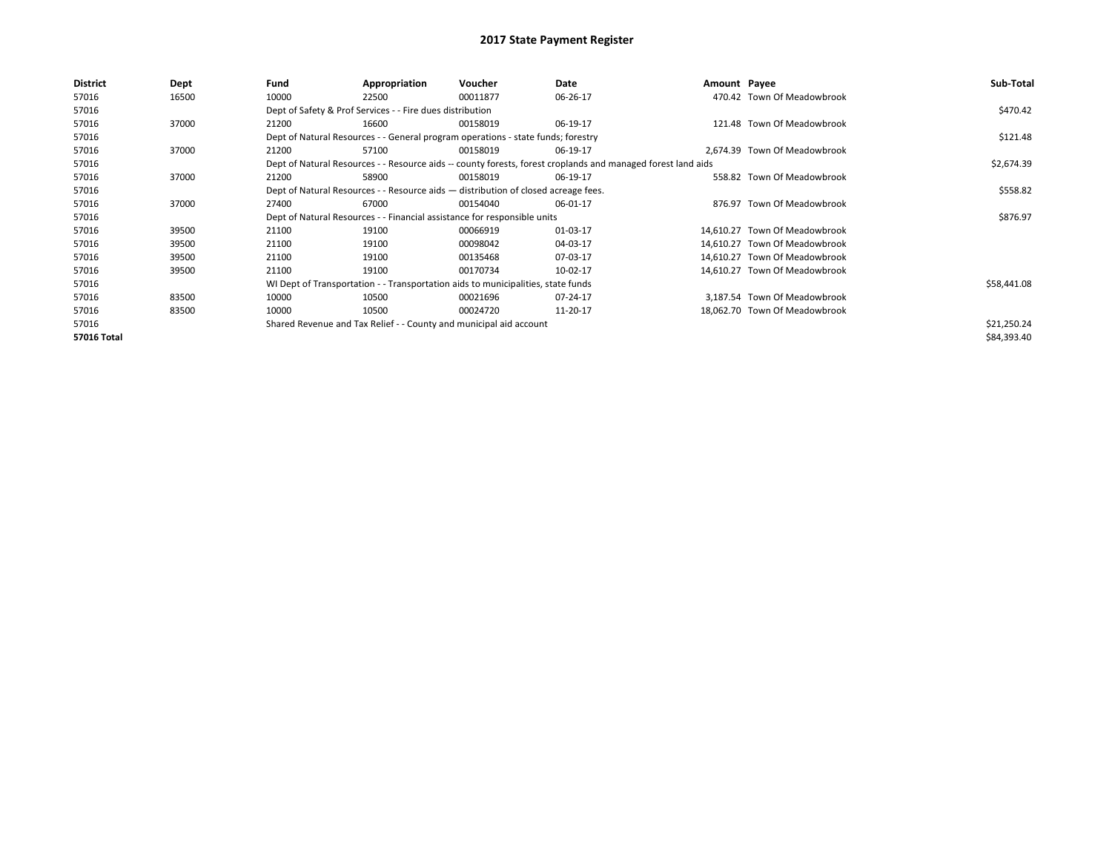| District           | Dept  | Fund  | Appropriation                                                                                                | Voucher  | Date     | Amount Payee |                               | Sub-Total   |  |  |  |
|--------------------|-------|-------|--------------------------------------------------------------------------------------------------------------|----------|----------|--------------|-------------------------------|-------------|--|--|--|
| 57016              | 16500 | 10000 | 22500                                                                                                        | 00011877 | 06-26-17 |              | 470.42 Town Of Meadowbrook    |             |  |  |  |
| 57016              |       |       | Dept of Safety & Prof Services - - Fire dues distribution                                                    |          |          |              |                               | \$470.42    |  |  |  |
| 57016              | 37000 | 21200 | 16600                                                                                                        | 00158019 | 06-19-17 |              | 121.48 Town Of Meadowbrook    |             |  |  |  |
| 57016              |       |       | Dept of Natural Resources - - General program operations - state funds; forestry                             |          |          |              |                               | \$121.48    |  |  |  |
| 57016              | 37000 | 21200 | 57100                                                                                                        | 00158019 | 06-19-17 |              | 2.674.39 Town Of Meadowbrook  |             |  |  |  |
| 57016              |       |       | Dept of Natural Resources - - Resource aids -- county forests, forest croplands and managed forest land aids |          |          |              |                               |             |  |  |  |
| 57016              | 37000 | 21200 | 58900                                                                                                        | 00158019 | 06-19-17 |              | 558.82 Town Of Meadowbrook    |             |  |  |  |
| 57016              |       |       | Dept of Natural Resources - - Resource aids - distribution of closed acreage fees.                           |          |          |              |                               | \$558.82    |  |  |  |
| 57016              | 37000 | 27400 | 67000                                                                                                        | 00154040 | 06-01-17 |              | 876.97 Town Of Meadowbrook    |             |  |  |  |
| 57016              |       |       | Dept of Natural Resources - - Financial assistance for responsible units                                     |          |          |              |                               | \$876.97    |  |  |  |
| 57016              | 39500 | 21100 | 19100                                                                                                        | 00066919 | 01-03-17 |              | 14,610.27 Town Of Meadowbrook |             |  |  |  |
| 57016              | 39500 | 21100 | 19100                                                                                                        | 00098042 | 04-03-17 |              | 14,610.27 Town Of Meadowbrook |             |  |  |  |
| 57016              | 39500 | 21100 | 19100                                                                                                        | 00135468 | 07-03-17 |              | 14,610.27 Town Of Meadowbrook |             |  |  |  |
| 57016              | 39500 | 21100 | 19100                                                                                                        | 00170734 | 10-02-17 |              | 14,610.27 Town Of Meadowbrook |             |  |  |  |
| 57016              |       |       | WI Dept of Transportation - - Transportation aids to municipalities, state funds                             |          |          |              |                               | \$58,441.08 |  |  |  |
| 57016              | 83500 | 10000 | 10500                                                                                                        | 00021696 | 07-24-17 |              | 3,187.54 Town Of Meadowbrook  |             |  |  |  |
| 57016              | 83500 | 10000 | 10500                                                                                                        | 00024720 | 11-20-17 |              | 18,062.70 Town Of Meadowbrook |             |  |  |  |
| 57016              |       |       | Shared Revenue and Tax Relief - - County and municipal aid account                                           |          |          |              |                               | \$21,250.24 |  |  |  |
| <b>57016 Total</b> |       |       |                                                                                                              |          |          |              |                               | \$84,393.40 |  |  |  |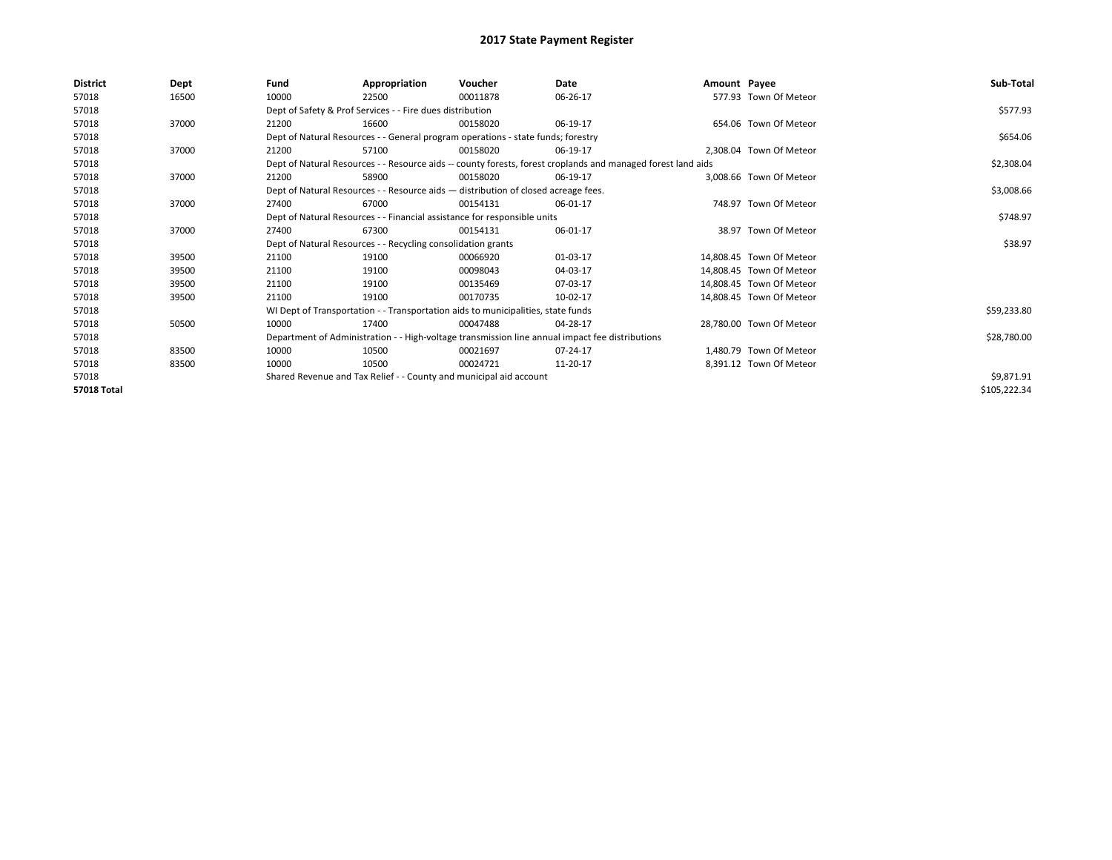| <b>District</b>    | Dept  | Fund  | Appropriation                                                                      | Voucher  | Date                                                                                                         | Amount Payee |                          | Sub-Total    |  |  |  |
|--------------------|-------|-------|------------------------------------------------------------------------------------|----------|--------------------------------------------------------------------------------------------------------------|--------------|--------------------------|--------------|--|--|--|
| 57018              | 16500 | 10000 | 22500                                                                              | 00011878 | 06-26-17                                                                                                     |              | 577.93 Town Of Meteor    |              |  |  |  |
| 57018              |       |       | Dept of Safety & Prof Services - - Fire dues distribution                          |          |                                                                                                              |              |                          | \$577.93     |  |  |  |
| 57018              | 37000 | 21200 | 16600                                                                              | 00158020 | 06-19-17                                                                                                     |              | 654.06 Town Of Meteor    |              |  |  |  |
| 57018              |       |       | Dept of Natural Resources - - General program operations - state funds; forestry   |          |                                                                                                              |              |                          | \$654.06     |  |  |  |
| 57018              | 37000 | 21200 | 57100                                                                              | 00158020 | 06-19-17                                                                                                     |              | 2.308.04 Town Of Meteor  |              |  |  |  |
| 57018              |       |       |                                                                                    |          | Dept of Natural Resources - - Resource aids -- county forests, forest croplands and managed forest land aids |              |                          | \$2,308.04   |  |  |  |
| 57018              | 37000 | 21200 | 58900                                                                              | 00158020 | 06-19-17                                                                                                     |              | 3.008.66 Town Of Meteor  |              |  |  |  |
| 57018              |       |       | Dept of Natural Resources - - Resource aids - distribution of closed acreage fees. |          |                                                                                                              |              |                          | \$3,008.66   |  |  |  |
| 57018              | 37000 | 27400 | 67000                                                                              | 00154131 | 06-01-17                                                                                                     |              | 748.97 Town Of Meteor    |              |  |  |  |
| 57018              |       |       | Dept of Natural Resources - - Financial assistance for responsible units           |          |                                                                                                              |              |                          |              |  |  |  |
| 57018              | 37000 | 27400 | 67300                                                                              | 00154131 | 06-01-17                                                                                                     |              | 38.97 Town Of Meteor     |              |  |  |  |
| 57018              |       |       | Dept of Natural Resources - - Recycling consolidation grants                       |          |                                                                                                              |              |                          | \$38.97      |  |  |  |
| 57018              | 39500 | 21100 | 19100                                                                              | 00066920 | 01-03-17                                                                                                     |              | 14,808.45 Town Of Meteor |              |  |  |  |
| 57018              | 39500 | 21100 | 19100                                                                              | 00098043 | 04-03-17                                                                                                     |              | 14.808.45 Town Of Meteor |              |  |  |  |
| 57018              | 39500 | 21100 | 19100                                                                              | 00135469 | 07-03-17                                                                                                     |              | 14.808.45 Town Of Meteor |              |  |  |  |
| 57018              | 39500 | 21100 | 19100                                                                              | 00170735 | 10-02-17                                                                                                     |              | 14,808.45 Town Of Meteor |              |  |  |  |
| 57018              |       |       | WI Dept of Transportation - - Transportation aids to municipalities, state funds   |          |                                                                                                              |              |                          | \$59,233.80  |  |  |  |
| 57018              | 50500 | 10000 | 17400                                                                              | 00047488 | 04-28-17                                                                                                     |              | 28.780.00 Town Of Meteor |              |  |  |  |
| 57018              |       |       |                                                                                    |          | Department of Administration - - High-voltage transmission line annual impact fee distributions              |              |                          | \$28,780.00  |  |  |  |
| 57018              | 83500 | 10000 | 10500                                                                              | 00021697 | 07-24-17                                                                                                     |              | 1.480.79 Town Of Meteor  |              |  |  |  |
| 57018              | 83500 | 10000 | 10500                                                                              | 00024721 | 11-20-17                                                                                                     |              | 8,391.12 Town Of Meteor  |              |  |  |  |
| 57018              |       |       | Shared Revenue and Tax Relief - - County and municipal aid account                 |          |                                                                                                              |              |                          | \$9,871.91   |  |  |  |
| <b>57018 Total</b> |       |       |                                                                                    |          |                                                                                                              |              |                          | \$105,222.34 |  |  |  |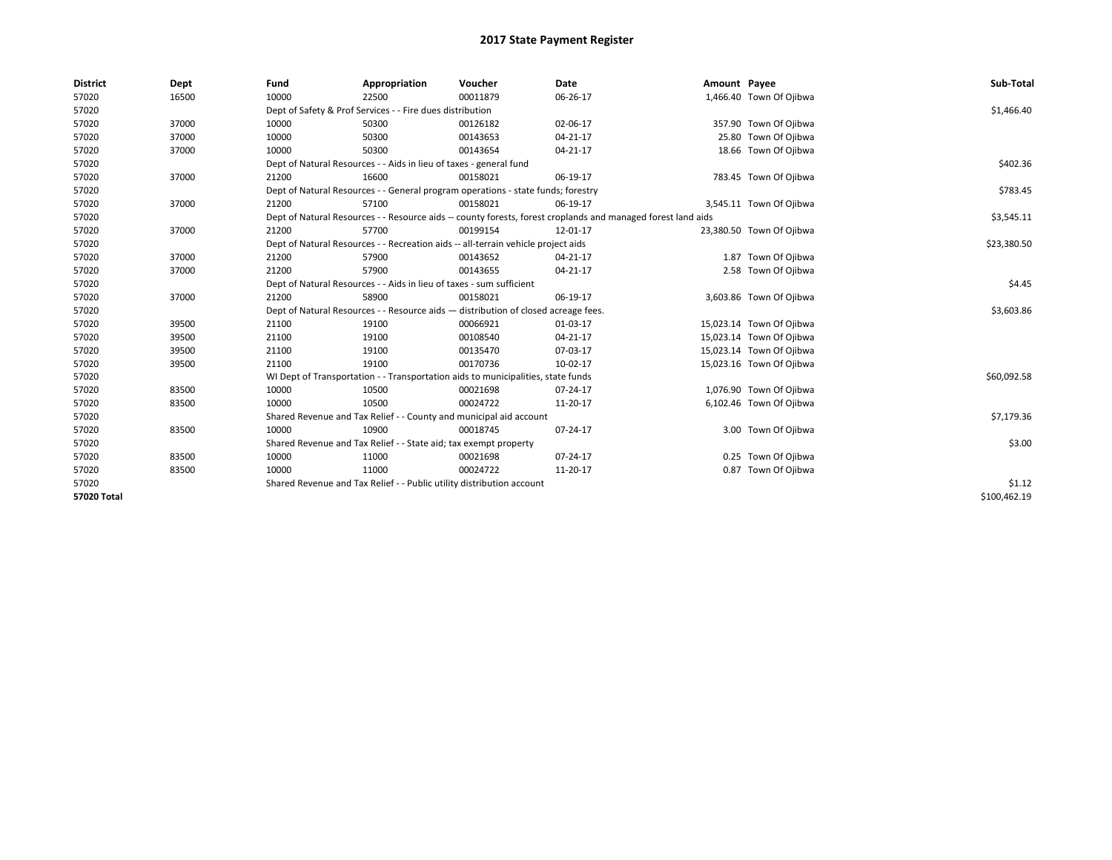| <b>District</b>    | Dept  | Fund  | Appropriation                                                                                                | Voucher  | Date           | Amount Payee |                          | Sub-Total    |  |  |  |
|--------------------|-------|-------|--------------------------------------------------------------------------------------------------------------|----------|----------------|--------------|--------------------------|--------------|--|--|--|
| 57020              | 16500 | 10000 | 22500                                                                                                        | 00011879 | 06-26-17       |              | 1,466.40 Town Of Ojibwa  |              |  |  |  |
| 57020              |       |       | Dept of Safety & Prof Services - - Fire dues distribution                                                    |          |                |              |                          | \$1,466.40   |  |  |  |
| 57020              | 37000 | 10000 | 50300                                                                                                        | 00126182 | 02-06-17       |              | 357.90 Town Of Ojibwa    |              |  |  |  |
| 57020              | 37000 | 10000 | 50300                                                                                                        | 00143653 | 04-21-17       |              | 25.80 Town Of Ojibwa     |              |  |  |  |
| 57020              | 37000 | 10000 | 50300                                                                                                        | 00143654 | 04-21-17       |              | 18.66 Town Of Ojibwa     |              |  |  |  |
| 57020              |       |       | Dept of Natural Resources - - Aids in lieu of taxes - general fund                                           |          |                |              |                          | \$402.36     |  |  |  |
| 57020              | 37000 | 21200 | 16600                                                                                                        | 00158021 | 06-19-17       |              | 783.45 Town Of Ojibwa    |              |  |  |  |
| 57020              |       |       | Dept of Natural Resources - - General program operations - state funds; forestry                             |          |                |              |                          | \$783.45     |  |  |  |
| 57020              | 37000 | 21200 | 57100                                                                                                        | 00158021 | 06-19-17       |              | 3,545.11 Town Of Ojibwa  |              |  |  |  |
| 57020              |       |       | Dept of Natural Resources - - Resource aids -- county forests, forest croplands and managed forest land aids |          |                |              |                          |              |  |  |  |
| 57020              | 37000 | 21200 | 57700                                                                                                        | 00199154 | 12-01-17       |              | 23,380.50 Town Of Ojibwa |              |  |  |  |
| 57020              |       |       | Dept of Natural Resources - - Recreation aids -- all-terrain vehicle project aids                            |          |                |              |                          | \$23,380.50  |  |  |  |
| 57020              | 37000 | 21200 | 57900                                                                                                        | 00143652 | 04-21-17       |              | 1.87 Town Of Ojibwa      |              |  |  |  |
| 57020              | 37000 | 21200 | 57900                                                                                                        | 00143655 | 04-21-17       |              | 2.58 Town Of Ojibwa      |              |  |  |  |
| 57020              |       |       | Dept of Natural Resources - - Aids in lieu of taxes - sum sufficient                                         |          |                |              |                          |              |  |  |  |
| 57020              | 37000 | 21200 | 58900                                                                                                        | 00158021 | 06-19-17       |              | 3,603.86 Town Of Ojibwa  |              |  |  |  |
| 57020              |       |       | Dept of Natural Resources - - Resource aids - distribution of closed acreage fees.                           |          |                |              |                          | \$3,603.86   |  |  |  |
| 57020              | 39500 | 21100 | 19100                                                                                                        | 00066921 | 01-03-17       |              | 15,023.14 Town Of Ojibwa |              |  |  |  |
| 57020              | 39500 | 21100 | 19100                                                                                                        | 00108540 | 04-21-17       |              | 15,023.14 Town Of Ojibwa |              |  |  |  |
| 57020              | 39500 | 21100 | 19100                                                                                                        | 00135470 | 07-03-17       |              | 15,023.14 Town Of Ojibwa |              |  |  |  |
| 57020              | 39500 | 21100 | 19100                                                                                                        | 00170736 | 10-02-17       |              | 15,023.16 Town Of Ojibwa |              |  |  |  |
| 57020              |       |       | WI Dept of Transportation - - Transportation aids to municipalities, state funds                             |          |                |              |                          | \$60,092.58  |  |  |  |
| 57020              | 83500 | 10000 | 10500                                                                                                        | 00021698 | $07 - 24 - 17$ |              | 1,076.90 Town Of Ojibwa  |              |  |  |  |
| 57020              | 83500 | 10000 | 10500                                                                                                        | 00024722 | 11-20-17       |              | 6,102.46 Town Of Ojibwa  |              |  |  |  |
| 57020              |       |       | Shared Revenue and Tax Relief - - County and municipal aid account                                           |          |                |              |                          | \$7,179.36   |  |  |  |
| 57020              | 83500 | 10000 | 10900                                                                                                        | 00018745 | 07-24-17       |              | 3.00 Town Of Ojibwa      |              |  |  |  |
| 57020              |       |       | Shared Revenue and Tax Relief - - State aid; tax exempt property                                             |          |                |              |                          | \$3.00       |  |  |  |
| 57020              | 83500 | 10000 | 11000                                                                                                        | 00021698 | 07-24-17       |              | 0.25 Town Of Ojibwa      |              |  |  |  |
| 57020              | 83500 | 10000 | 11000                                                                                                        | 00024722 | 11-20-17       |              | 0.87 Town Of Ojibwa      |              |  |  |  |
| 57020              |       |       | Shared Revenue and Tax Relief - - Public utility distribution account                                        |          |                |              |                          |              |  |  |  |
| <b>57020 Total</b> |       |       |                                                                                                              |          |                |              |                          | \$100.462.19 |  |  |  |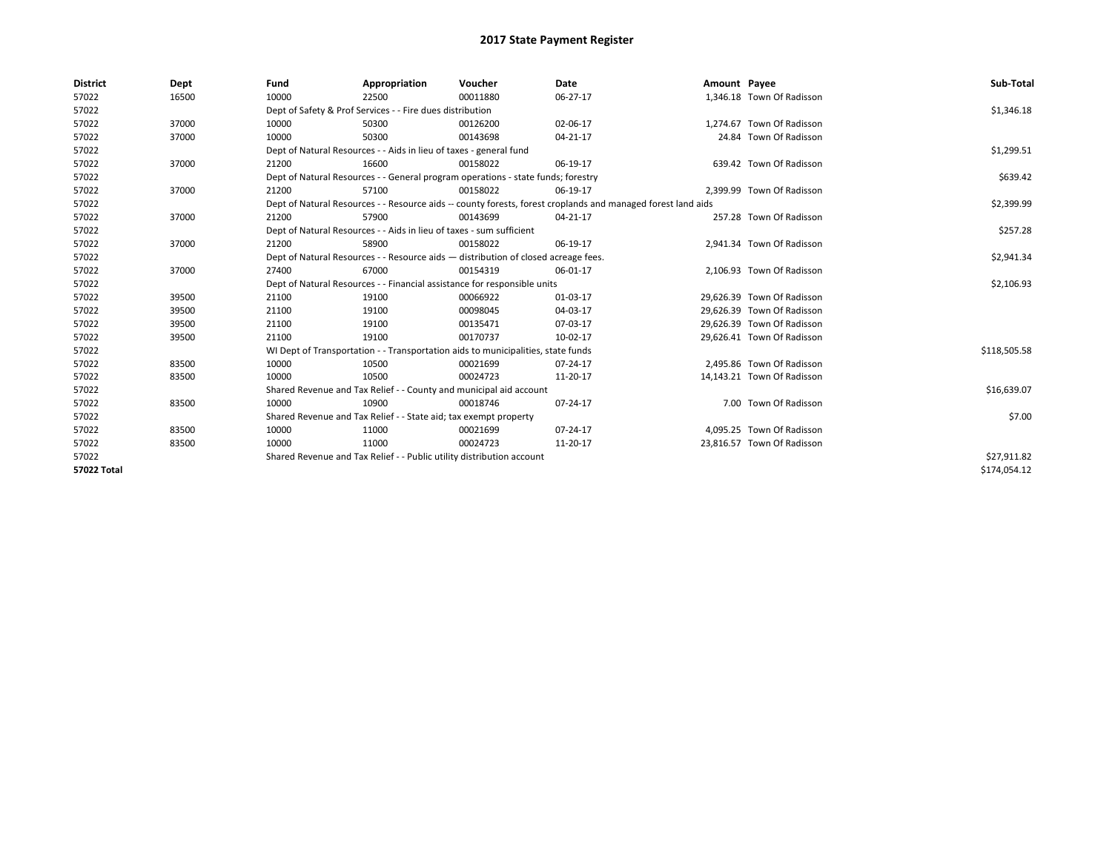| <b>District</b>    | Dept  | Fund                                                                               | Appropriation                                                                    | Voucher    | Date                                                                                                         | Amount Payee |                            | Sub-Total    |
|--------------------|-------|------------------------------------------------------------------------------------|----------------------------------------------------------------------------------|------------|--------------------------------------------------------------------------------------------------------------|--------------|----------------------------|--------------|
| 57022              | 16500 | 10000                                                                              | 22500                                                                            | 00011880   | 06-27-17                                                                                                     |              | 1,346.18 Town Of Radisson  |              |
| 57022              |       |                                                                                    | Dept of Safety & Prof Services - - Fire dues distribution                        |            |                                                                                                              |              |                            | \$1,346.18   |
| 57022              | 37000 | 10000                                                                              | 50300                                                                            | 00126200   | 02-06-17                                                                                                     |              | 1,274.67 Town Of Radisson  |              |
| 57022              | 37000 | 10000                                                                              | 50300                                                                            | 00143698   | 04-21-17                                                                                                     |              | 24.84 Town Of Radisson     |              |
| 57022              |       |                                                                                    | Dept of Natural Resources - - Aids in lieu of taxes - general fund               |            |                                                                                                              |              |                            | \$1,299.51   |
| 57022              | 37000 | 21200                                                                              | 16600                                                                            | 00158022   | 06-19-17                                                                                                     |              | 639.42 Town Of Radisson    |              |
| 57022              |       |                                                                                    | Dept of Natural Resources - - General program operations - state funds; forestry |            |                                                                                                              |              |                            | \$639.42     |
| 57022              | 37000 | 21200                                                                              | 57100                                                                            | 00158022   | 06-19-17                                                                                                     |              | 2,399.99 Town Of Radisson  |              |
| 57022              |       |                                                                                    |                                                                                  |            | Dept of Natural Resources - - Resource aids -- county forests, forest croplands and managed forest land aids |              |                            | \$2,399.99   |
| 57022              | 37000 | 21200                                                                              | 57900                                                                            | 00143699   | 04-21-17                                                                                                     |              | 257.28 Town Of Radisson    |              |
| 57022              |       |                                                                                    | Dept of Natural Resources - - Aids in lieu of taxes - sum sufficient             |            |                                                                                                              |              |                            | \$257.28     |
| 57022              | 37000 | 21200                                                                              | 58900                                                                            | 00158022   | 06-19-17                                                                                                     |              | 2,941.34 Town Of Radisson  |              |
| 57022              |       | Dept of Natural Resources - - Resource aids - distribution of closed acreage fees. |                                                                                  | \$2,941.34 |                                                                                                              |              |                            |              |
| 57022              | 37000 | 27400                                                                              | 67000                                                                            | 00154319   | 06-01-17                                                                                                     |              | 2,106.93 Town Of Radisson  |              |
| 57022              |       |                                                                                    | Dept of Natural Resources - - Financial assistance for responsible units         |            |                                                                                                              |              |                            | \$2,106.93   |
| 57022              | 39500 | 21100                                                                              | 19100                                                                            | 00066922   | 01-03-17                                                                                                     |              | 29.626.39 Town Of Radisson |              |
| 57022              | 39500 | 21100                                                                              | 19100                                                                            | 00098045   | 04-03-17                                                                                                     |              | 29,626.39 Town Of Radisson |              |
| 57022              | 39500 | 21100                                                                              | 19100                                                                            | 00135471   | 07-03-17                                                                                                     |              | 29.626.39 Town Of Radisson |              |
| 57022              | 39500 | 21100                                                                              | 19100                                                                            | 00170737   | 10-02-17                                                                                                     |              | 29,626.41 Town Of Radisson |              |
| 57022              |       |                                                                                    | WI Dept of Transportation - - Transportation aids to municipalities, state funds |            |                                                                                                              |              |                            | \$118,505.58 |
| 57022              | 83500 | 10000                                                                              | 10500                                                                            | 00021699   | 07-24-17                                                                                                     |              | 2,495.86 Town Of Radisson  |              |
| 57022              | 83500 | 10000                                                                              | 10500                                                                            | 00024723   | 11-20-17                                                                                                     |              | 14,143.21 Town Of Radisson |              |
| 57022              |       |                                                                                    | Shared Revenue and Tax Relief - - County and municipal aid account               |            |                                                                                                              |              |                            | \$16,639.07  |
| 57022              | 83500 | 10000                                                                              | 10900                                                                            | 00018746   | 07-24-17                                                                                                     |              | 7.00 Town Of Radisson      |              |
| 57022              |       |                                                                                    | Shared Revenue and Tax Relief - - State aid; tax exempt property                 |            |                                                                                                              |              |                            | \$7.00       |
| 57022              | 83500 | 10000                                                                              | 11000                                                                            | 00021699   | 07-24-17                                                                                                     |              | 4.095.25 Town Of Radisson  |              |
| 57022              | 83500 | 10000                                                                              | 11000                                                                            | 00024723   | 11-20-17                                                                                                     |              | 23,816.57 Town Of Radisson |              |
| 57022              |       |                                                                                    | Shared Revenue and Tax Relief - - Public utility distribution account            |            |                                                                                                              |              |                            | \$27,911.82  |
| <b>57022 Total</b> |       |                                                                                    |                                                                                  |            |                                                                                                              |              |                            | \$174,054.12 |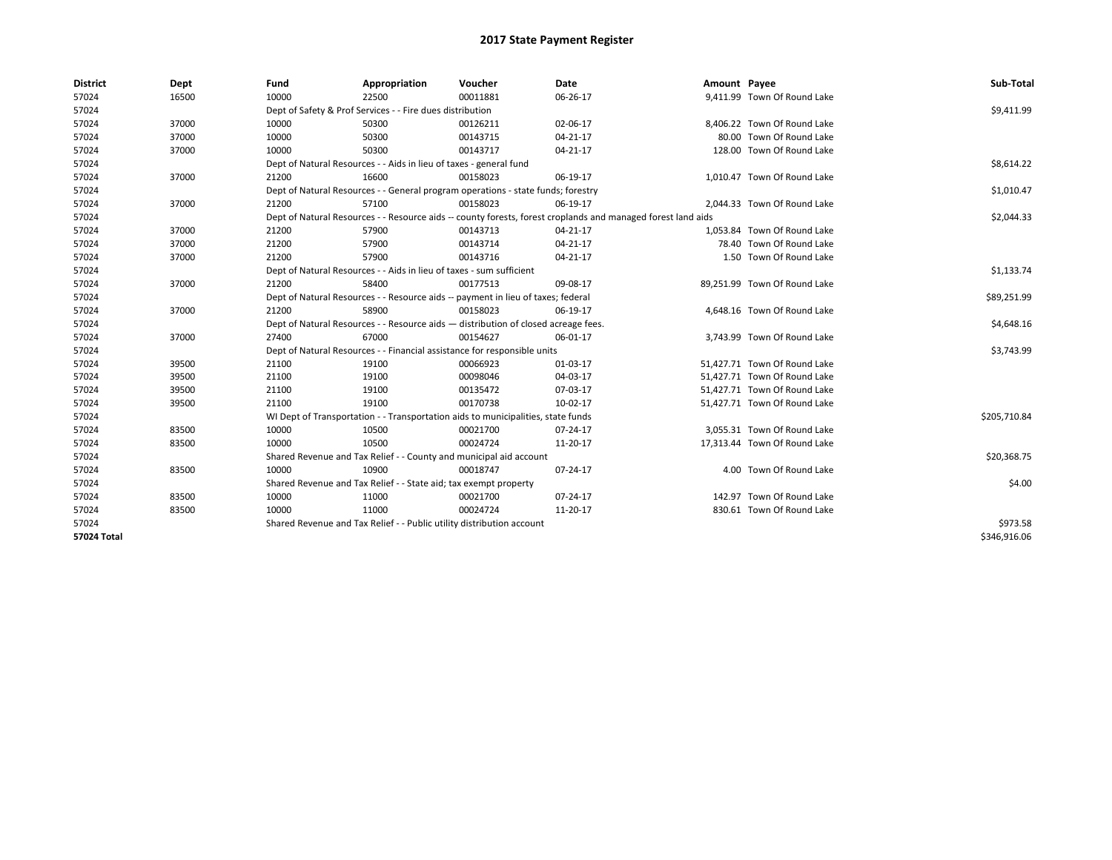| <b>District</b> | Dept  | Fund  | Appropriation                                                                                                | Voucher  | <b>Date</b> | Amount Payee |                              | Sub-Total    |  |  |
|-----------------|-------|-------|--------------------------------------------------------------------------------------------------------------|----------|-------------|--------------|------------------------------|--------------|--|--|
| 57024           | 16500 | 10000 | 22500                                                                                                        | 00011881 | 06-26-17    |              | 9,411.99 Town Of Round Lake  |              |  |  |
| 57024           |       |       | Dept of Safety & Prof Services - - Fire dues distribution                                                    |          |             |              |                              | \$9,411.99   |  |  |
| 57024           | 37000 | 10000 | 50300                                                                                                        | 00126211 | 02-06-17    |              | 8.406.22 Town Of Round Lake  |              |  |  |
| 57024           | 37000 | 10000 | 50300                                                                                                        | 00143715 | 04-21-17    |              | 80.00 Town Of Round Lake     |              |  |  |
| 57024           | 37000 | 10000 | 50300                                                                                                        | 00143717 | 04-21-17    |              | 128.00 Town Of Round Lake    |              |  |  |
| 57024           |       |       | Dept of Natural Resources - - Aids in lieu of taxes - general fund                                           |          |             |              |                              | \$8,614.22   |  |  |
| 57024           | 37000 | 21200 | 16600                                                                                                        | 00158023 | 06-19-17    |              | 1,010.47 Town Of Round Lake  |              |  |  |
| 57024           |       |       | Dept of Natural Resources - - General program operations - state funds; forestry                             |          |             |              |                              | \$1,010.47   |  |  |
| 57024           | 37000 | 21200 | 57100                                                                                                        | 00158023 | 06-19-17    |              | 2,044.33 Town Of Round Lake  |              |  |  |
| 57024           |       |       | Dept of Natural Resources - - Resource aids -- county forests, forest croplands and managed forest land aids |          |             |              |                              |              |  |  |
| 57024           | 37000 | 21200 | 57900                                                                                                        | 00143713 | 04-21-17    |              | 1,053.84 Town Of Round Lake  |              |  |  |
| 57024           | 37000 | 21200 | 57900                                                                                                        | 00143714 | 04-21-17    |              | 78.40 Town Of Round Lake     |              |  |  |
| 57024           | 37000 | 21200 | 57900                                                                                                        | 00143716 | 04-21-17    |              | 1.50 Town Of Round Lake      |              |  |  |
| 57024           |       |       | Dept of Natural Resources - - Aids in lieu of taxes - sum sufficient                                         |          |             |              |                              | \$1,133.74   |  |  |
| 57024           | 37000 | 21200 | 58400                                                                                                        | 00177513 | 09-08-17    |              | 89,251.99 Town Of Round Lake |              |  |  |
| 57024           |       |       | Dept of Natural Resources - - Resource aids -- payment in lieu of taxes; federal                             |          |             |              |                              |              |  |  |
| 57024           | 37000 | 21200 | 58900                                                                                                        | 00158023 | 06-19-17    |              | 4,648.16 Town Of Round Lake  |              |  |  |
| 57024           |       |       | Dept of Natural Resources - - Resource aids - distribution of closed acreage fees.                           |          |             |              |                              | \$4,648.16   |  |  |
| 57024           | 37000 | 27400 | 67000                                                                                                        | 00154627 | 06-01-17    |              | 3,743.99 Town Of Round Lake  |              |  |  |
| 57024           |       |       | Dept of Natural Resources - - Financial assistance for responsible units                                     |          |             |              |                              | \$3,743.99   |  |  |
| 57024           | 39500 | 21100 | 19100                                                                                                        | 00066923 | 01-03-17    |              | 51,427.71 Town Of Round Lake |              |  |  |
| 57024           | 39500 | 21100 | 19100                                                                                                        | 00098046 | 04-03-17    |              | 51.427.71 Town Of Round Lake |              |  |  |
| 57024           | 39500 | 21100 | 19100                                                                                                        | 00135472 | 07-03-17    |              | 51.427.71 Town Of Round Lake |              |  |  |
| 57024           | 39500 | 21100 | 19100                                                                                                        | 00170738 | 10-02-17    |              | 51,427.71 Town Of Round Lake |              |  |  |
| 57024           |       |       | WI Dept of Transportation - - Transportation aids to municipalities, state funds                             |          |             |              |                              | \$205,710.84 |  |  |
| 57024           | 83500 | 10000 | 10500                                                                                                        | 00021700 | 07-24-17    |              | 3,055.31 Town Of Round Lake  |              |  |  |
| 57024           | 83500 | 10000 | 10500                                                                                                        | 00024724 | 11-20-17    |              | 17,313.44 Town Of Round Lake |              |  |  |
| 57024           |       |       | Shared Revenue and Tax Relief - - County and municipal aid account                                           |          |             |              |                              | \$20,368.75  |  |  |
| 57024           | 83500 | 10000 | 10900                                                                                                        | 00018747 | 07-24-17    |              | 4.00 Town Of Round Lake      |              |  |  |
| 57024           |       |       | Shared Revenue and Tax Relief - - State aid; tax exempt property                                             |          |             |              |                              | \$4.00       |  |  |
| 57024           | 83500 | 10000 | 11000                                                                                                        | 00021700 | 07-24-17    |              | 142.97 Town Of Round Lake    |              |  |  |
| 57024           | 83500 | 10000 | 11000                                                                                                        | 00024724 | 11-20-17    |              | 830.61 Town Of Round Lake    |              |  |  |
| 57024           |       |       | Shared Revenue and Tax Relief - - Public utility distribution account                                        |          |             |              |                              | \$973.58     |  |  |
| 57024 Total     |       |       |                                                                                                              |          |             |              |                              | \$346,916.06 |  |  |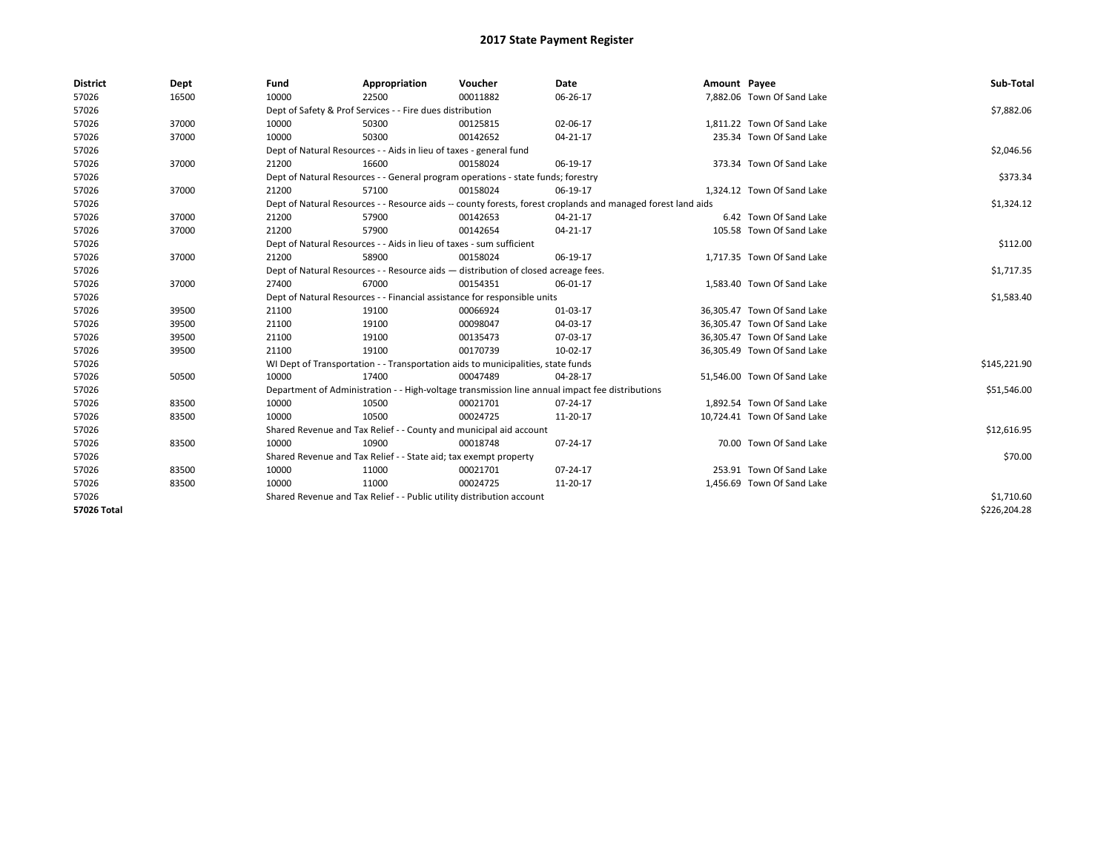| <b>District</b> | Dept  | Fund  | Appropriation                                                                                                | Voucher  | <b>Date</b>                                                                                     | Amount Payee |                             | Sub-Total    |  |  |
|-----------------|-------|-------|--------------------------------------------------------------------------------------------------------------|----------|-------------------------------------------------------------------------------------------------|--------------|-----------------------------|--------------|--|--|
| 57026           | 16500 | 10000 | 22500                                                                                                        | 00011882 | 06-26-17                                                                                        |              | 7,882.06 Town Of Sand Lake  |              |  |  |
| 57026           |       |       | Dept of Safety & Prof Services - - Fire dues distribution                                                    |          |                                                                                                 |              |                             | \$7,882.06   |  |  |
| 57026           | 37000 | 10000 | 50300                                                                                                        | 00125815 | 02-06-17                                                                                        |              | 1,811.22 Town Of Sand Lake  |              |  |  |
| 57026           | 37000 | 10000 | 50300                                                                                                        | 00142652 | 04-21-17                                                                                        |              | 235.34 Town Of Sand Lake    |              |  |  |
| 57026           |       |       | Dept of Natural Resources - - Aids in lieu of taxes - general fund                                           |          |                                                                                                 |              |                             | \$2,046.56   |  |  |
| 57026           | 37000 | 21200 | 16600                                                                                                        | 00158024 | 06-19-17                                                                                        |              | 373.34 Town Of Sand Lake    |              |  |  |
| 57026           |       |       | Dept of Natural Resources - - General program operations - state funds; forestry                             |          |                                                                                                 |              |                             | \$373.34     |  |  |
| 57026           | 37000 | 21200 | 57100                                                                                                        | 00158024 | 06-19-17                                                                                        |              | 1,324.12 Town Of Sand Lake  |              |  |  |
| 57026           |       |       | Dept of Natural Resources - - Resource aids -- county forests, forest croplands and managed forest land aids |          |                                                                                                 |              |                             |              |  |  |
| 57026           | 37000 | 21200 | 57900                                                                                                        | 00142653 | 04-21-17                                                                                        |              | 6.42 Town Of Sand Lake      |              |  |  |
| 57026           | 37000 | 21200 | 57900                                                                                                        | 00142654 | 04-21-17                                                                                        |              | 105.58 Town Of Sand Lake    |              |  |  |
| 57026           |       |       | Dept of Natural Resources - - Aids in lieu of taxes - sum sufficient                                         |          |                                                                                                 |              |                             | \$112.00     |  |  |
| 57026           | 37000 | 21200 | 58900                                                                                                        | 00158024 | 06-19-17                                                                                        |              | 1,717.35 Town Of Sand Lake  |              |  |  |
| 57026           |       |       | Dept of Natural Resources - - Resource aids - distribution of closed acreage fees.                           |          |                                                                                                 |              |                             | \$1,717.35   |  |  |
| 57026           | 37000 | 27400 | 67000                                                                                                        | 00154351 | 06-01-17                                                                                        |              | 1,583.40 Town Of Sand Lake  |              |  |  |
| 57026           |       |       | Dept of Natural Resources - - Financial assistance for responsible units                                     |          |                                                                                                 |              |                             | \$1,583.40   |  |  |
| 57026           | 39500 | 21100 | 19100                                                                                                        | 00066924 | 01-03-17                                                                                        |              | 36,305.47 Town Of Sand Lake |              |  |  |
| 57026           | 39500 | 21100 | 19100                                                                                                        | 00098047 | 04-03-17                                                                                        |              | 36,305.47 Town Of Sand Lake |              |  |  |
| 57026           | 39500 | 21100 | 19100                                                                                                        | 00135473 | 07-03-17                                                                                        |              | 36,305.47 Town Of Sand Lake |              |  |  |
| 57026           | 39500 | 21100 | 19100                                                                                                        | 00170739 | 10-02-17                                                                                        |              | 36,305.49 Town Of Sand Lake |              |  |  |
| 57026           |       |       | WI Dept of Transportation - - Transportation aids to municipalities, state funds                             |          |                                                                                                 |              |                             | \$145,221.90 |  |  |
| 57026           | 50500 | 10000 | 17400                                                                                                        | 00047489 | 04-28-17                                                                                        |              | 51,546.00 Town Of Sand Lake |              |  |  |
| 57026           |       |       |                                                                                                              |          | Department of Administration - - High-voltage transmission line annual impact fee distributions |              |                             | \$51,546.00  |  |  |
| 57026           | 83500 | 10000 | 10500                                                                                                        | 00021701 | 07-24-17                                                                                        |              | 1,892.54 Town Of Sand Lake  |              |  |  |
| 57026           | 83500 | 10000 | 10500                                                                                                        | 00024725 | 11-20-17                                                                                        |              | 10,724.41 Town Of Sand Lake |              |  |  |
| 57026           |       |       | Shared Revenue and Tax Relief - - County and municipal aid account                                           |          |                                                                                                 |              |                             | \$12,616.95  |  |  |
| 57026           | 83500 | 10000 | 10900                                                                                                        | 00018748 | 07-24-17                                                                                        |              | 70.00 Town Of Sand Lake     |              |  |  |
| 57026           |       |       | Shared Revenue and Tax Relief - - State aid; tax exempt property                                             |          |                                                                                                 |              |                             | \$70.00      |  |  |
| 57026           | 83500 | 10000 | 11000                                                                                                        | 00021701 | 07-24-17                                                                                        |              | 253.91 Town Of Sand Lake    |              |  |  |
| 57026           | 83500 | 10000 | 11000                                                                                                        | 00024725 | 11-20-17                                                                                        |              | 1,456.69 Town Of Sand Lake  |              |  |  |
| 57026           |       |       | Shared Revenue and Tax Relief - - Public utility distribution account                                        |          |                                                                                                 |              |                             | \$1,710.60   |  |  |
| 57026 Total     |       |       |                                                                                                              |          |                                                                                                 |              |                             | \$226,204.28 |  |  |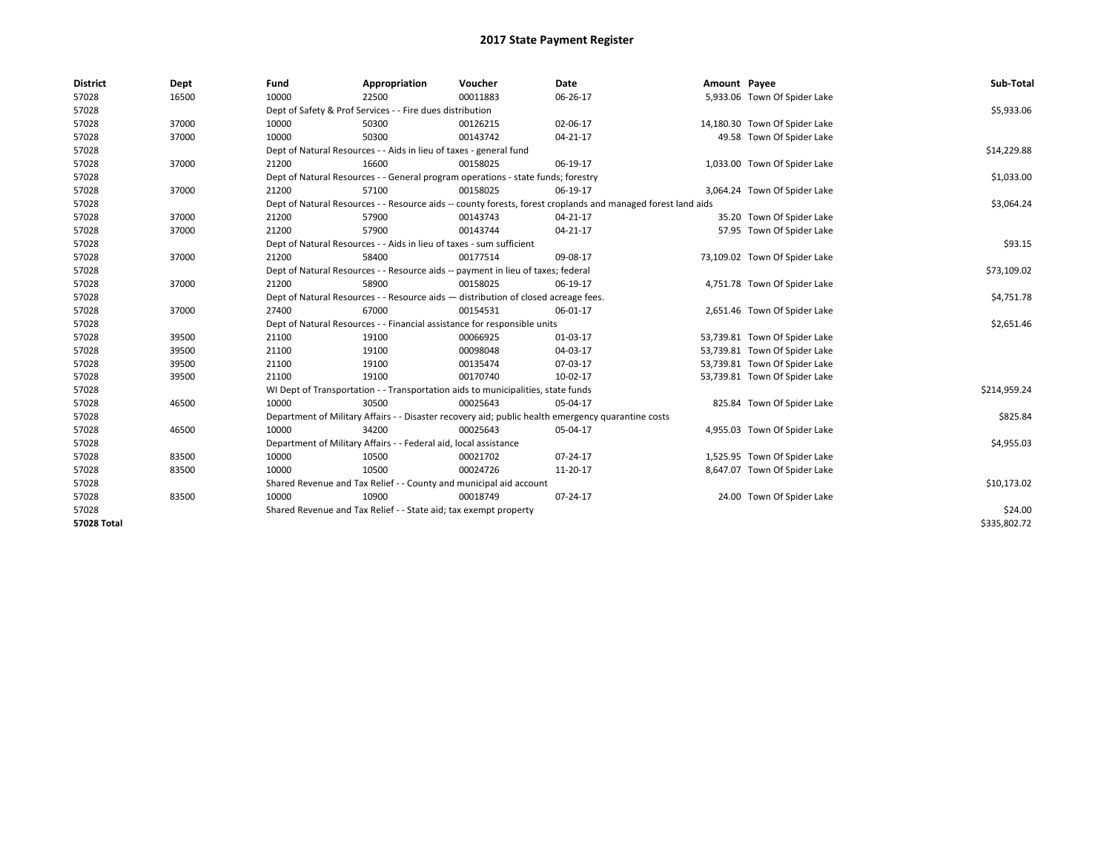| <b>District</b>    | Dept  | Fund                                                             | Appropriation                                                                      | Voucher  | Date                                                                                                         | Amount Payee |                               | Sub-Total    |
|--------------------|-------|------------------------------------------------------------------|------------------------------------------------------------------------------------|----------|--------------------------------------------------------------------------------------------------------------|--------------|-------------------------------|--------------|
| 57028              | 16500 | 10000                                                            | 22500                                                                              | 00011883 | 06-26-17                                                                                                     |              | 5,933.06 Town Of Spider Lake  |              |
| 57028              |       |                                                                  | Dept of Safety & Prof Services - - Fire dues distribution                          |          |                                                                                                              |              |                               | \$5,933.06   |
| 57028              | 37000 | 10000                                                            | 50300                                                                              | 00126215 | 02-06-17                                                                                                     |              | 14,180.30 Town Of Spider Lake |              |
| 57028              | 37000 | 10000                                                            | 50300                                                                              | 00143742 | 04-21-17                                                                                                     |              | 49.58 Town Of Spider Lake     |              |
| 57028              |       |                                                                  | Dept of Natural Resources - - Aids in lieu of taxes - general fund                 |          |                                                                                                              |              |                               | \$14,229.88  |
| 57028              | 37000 | 21200                                                            | 16600                                                                              | 00158025 | 06-19-17                                                                                                     |              | 1,033.00 Town Of Spider Lake  |              |
| 57028              |       |                                                                  | Dept of Natural Resources - - General program operations - state funds; forestry   |          |                                                                                                              |              |                               | \$1,033.00   |
| 57028              | 37000 | 21200                                                            | 57100                                                                              | 00158025 | 06-19-17                                                                                                     |              | 3,064.24 Town Of Spider Lake  |              |
| 57028              |       |                                                                  |                                                                                    |          | Dept of Natural Resources - - Resource aids -- county forests, forest croplands and managed forest land aids |              |                               | \$3,064.24   |
| 57028              | 37000 | 21200                                                            | 57900                                                                              | 00143743 | 04-21-17                                                                                                     |              | 35.20 Town Of Spider Lake     |              |
| 57028              | 37000 | 21200                                                            | 57900                                                                              | 00143744 | 04-21-17                                                                                                     |              | 57.95 Town Of Spider Lake     |              |
| 57028              |       |                                                                  | Dept of Natural Resources - - Aids in lieu of taxes - sum sufficient               |          |                                                                                                              |              |                               | \$93.15      |
| 57028              | 37000 | 21200                                                            | 58400                                                                              | 00177514 | 09-08-17                                                                                                     |              | 73,109.02 Town Of Spider Lake |              |
| 57028              |       |                                                                  | Dept of Natural Resources - - Resource aids -- payment in lieu of taxes; federal   |          |                                                                                                              |              |                               | \$73,109.02  |
| 57028              | 37000 | 21200                                                            | 58900                                                                              | 00158025 | 06-19-17                                                                                                     |              | 4,751.78 Town Of Spider Lake  |              |
| 57028              |       |                                                                  | Dept of Natural Resources - - Resource aids - distribution of closed acreage fees. |          |                                                                                                              |              |                               | \$4,751.78   |
| 57028              | 37000 | 27400                                                            | 67000                                                                              | 00154531 | 06-01-17                                                                                                     |              | 2,651.46 Town Of Spider Lake  |              |
| 57028              |       |                                                                  | Dept of Natural Resources - - Financial assistance for responsible units           |          |                                                                                                              |              |                               | \$2,651.46   |
| 57028              | 39500 | 21100                                                            | 19100                                                                              | 00066925 | 01-03-17                                                                                                     |              | 53,739.81 Town Of Spider Lake |              |
| 57028              | 39500 | 21100                                                            | 19100                                                                              | 00098048 | 04-03-17                                                                                                     |              | 53,739.81 Town Of Spider Lake |              |
| 57028              | 39500 | 21100                                                            | 19100                                                                              | 00135474 | 07-03-17                                                                                                     |              | 53,739.81 Town Of Spider Lake |              |
| 57028              | 39500 | 21100                                                            | 19100                                                                              | 00170740 | 10-02-17                                                                                                     |              | 53,739.81 Town Of Spider Lake |              |
| 57028              |       |                                                                  | WI Dept of Transportation - - Transportation aids to municipalities, state funds   |          |                                                                                                              |              |                               | \$214,959.24 |
| 57028              | 46500 | 10000                                                            | 30500                                                                              | 00025643 | 05-04-17                                                                                                     |              | 825.84 Town Of Spider Lake    |              |
| 57028              |       |                                                                  |                                                                                    |          | Department of Military Affairs - - Disaster recovery aid; public health emergency quarantine costs           |              |                               | \$825.84     |
| 57028              | 46500 | 10000                                                            | 34200                                                                              | 00025643 | 05-04-17                                                                                                     |              | 4,955.03 Town Of Spider Lake  |              |
| 57028              |       |                                                                  | Department of Military Affairs - - Federal aid, local assistance                   |          |                                                                                                              |              |                               | \$4,955.03   |
| 57028              | 83500 | 10000                                                            | 10500                                                                              | 00021702 | 07-24-17                                                                                                     |              | 1,525.95 Town Of Spider Lake  |              |
| 57028              | 83500 | 10000                                                            | 10500                                                                              | 00024726 | 11-20-17                                                                                                     |              | 8,647.07 Town Of Spider Lake  |              |
| 57028              |       |                                                                  | Shared Revenue and Tax Relief - - County and municipal aid account                 |          |                                                                                                              |              |                               | \$10,173.02  |
| 57028              | 83500 | 10000                                                            | 10900                                                                              | 00018749 | 07-24-17                                                                                                     |              | 24.00 Town Of Spider Lake     |              |
| 57028              |       | Shared Revenue and Tax Relief - - State aid; tax exempt property |                                                                                    | \$24.00  |                                                                                                              |              |                               |              |
| <b>57028 Total</b> |       |                                                                  |                                                                                    |          |                                                                                                              |              |                               | \$335,802.72 |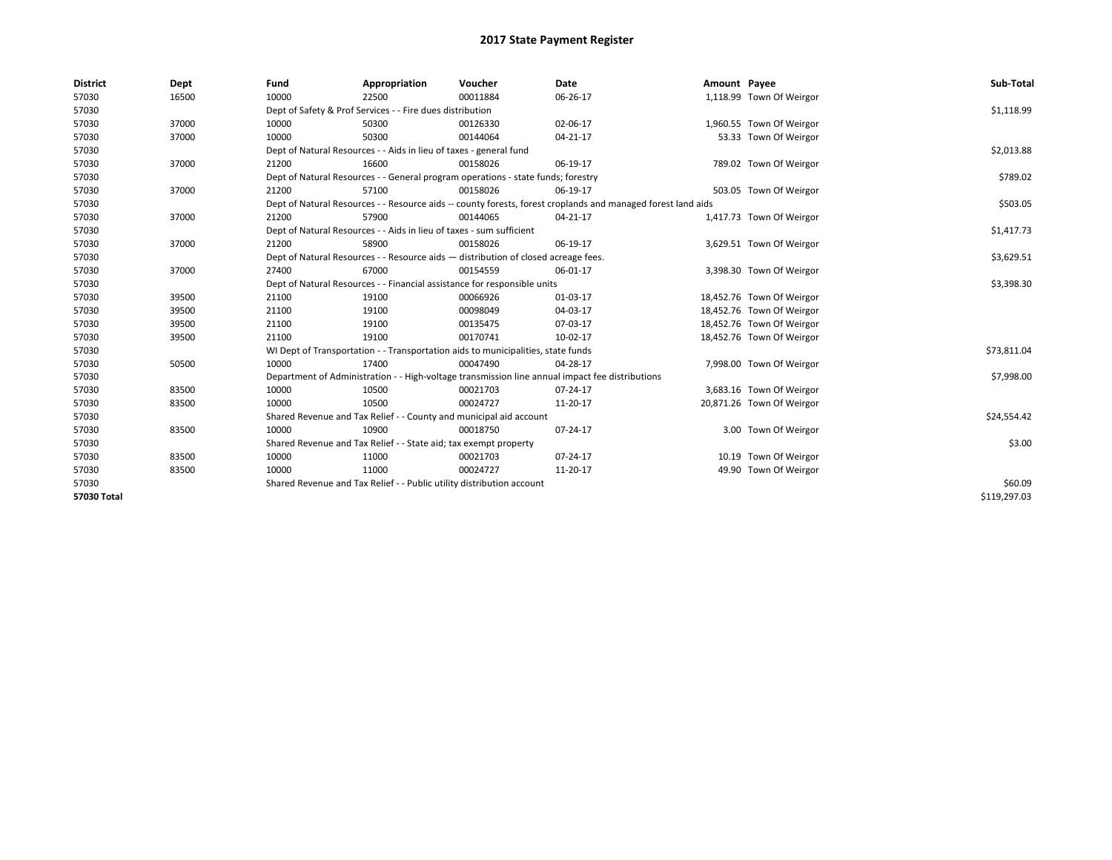| <b>District</b> | Dept  | Fund  | Appropriation                                                                      | Voucher  | Date                                                                                                         | Amount Payee |                           | Sub-Total    |  |  |  |
|-----------------|-------|-------|------------------------------------------------------------------------------------|----------|--------------------------------------------------------------------------------------------------------------|--------------|---------------------------|--------------|--|--|--|
| 57030           | 16500 | 10000 | 22500                                                                              | 00011884 | 06-26-17                                                                                                     |              | 1,118.99 Town Of Weirgor  |              |  |  |  |
| 57030           |       |       | Dept of Safety & Prof Services - - Fire dues distribution                          |          |                                                                                                              |              |                           | \$1,118.99   |  |  |  |
| 57030           | 37000 | 10000 | 50300                                                                              | 00126330 | 02-06-17                                                                                                     |              | 1,960.55 Town Of Weirgor  |              |  |  |  |
| 57030           | 37000 | 10000 | 50300                                                                              | 00144064 | $04 - 21 - 17$                                                                                               |              | 53.33 Town Of Weirgor     |              |  |  |  |
| 57030           |       |       | Dept of Natural Resources - - Aids in lieu of taxes - general fund                 |          |                                                                                                              |              |                           | \$2,013.88   |  |  |  |
| 57030           | 37000 | 21200 | 16600                                                                              | 00158026 | 06-19-17                                                                                                     |              | 789.02 Town Of Weirgor    |              |  |  |  |
| 57030           |       |       | Dept of Natural Resources - - General program operations - state funds; forestry   |          |                                                                                                              |              |                           | \$789.02     |  |  |  |
| 57030           | 37000 | 21200 | 57100                                                                              | 00158026 | 06-19-17                                                                                                     |              | 503.05 Town Of Weirgor    |              |  |  |  |
| 57030           |       |       |                                                                                    |          | Dept of Natural Resources - - Resource aids -- county forests, forest croplands and managed forest land aids |              |                           | \$503.05     |  |  |  |
| 57030           | 37000 | 21200 | 57900                                                                              | 00144065 | 04-21-17                                                                                                     |              | 1,417.73 Town Of Weirgor  |              |  |  |  |
| 57030           |       |       | Dept of Natural Resources - - Aids in lieu of taxes - sum sufficient               |          |                                                                                                              |              |                           | \$1,417.73   |  |  |  |
| 57030           | 37000 | 21200 | 58900                                                                              | 00158026 | 06-19-17                                                                                                     |              | 3,629.51 Town Of Weirgor  |              |  |  |  |
| 57030           |       |       | Dept of Natural Resources - - Resource aids - distribution of closed acreage fees. |          |                                                                                                              |              |                           | \$3,629.51   |  |  |  |
| 57030           | 37000 | 27400 | 67000                                                                              | 00154559 | 06-01-17                                                                                                     |              | 3,398.30 Town Of Weirgor  |              |  |  |  |
| 57030           |       |       | Dept of Natural Resources - - Financial assistance for responsible units           |          |                                                                                                              |              |                           |              |  |  |  |
| 57030           | 39500 | 21100 | 19100                                                                              | 00066926 | 01-03-17                                                                                                     |              | 18,452.76 Town Of Weirgor |              |  |  |  |
| 57030           | 39500 | 21100 | 19100                                                                              | 00098049 | 04-03-17                                                                                                     |              | 18,452.76 Town Of Weirgor |              |  |  |  |
| 57030           | 39500 | 21100 | 19100                                                                              | 00135475 | 07-03-17                                                                                                     |              | 18,452.76 Town Of Weirgor |              |  |  |  |
| 57030           | 39500 | 21100 | 19100                                                                              | 00170741 | 10-02-17                                                                                                     |              | 18,452.76 Town Of Weirgor |              |  |  |  |
| 57030           |       |       | WI Dept of Transportation - - Transportation aids to municipalities, state funds   |          |                                                                                                              |              |                           | \$73,811.04  |  |  |  |
| 57030           | 50500 | 10000 | 17400                                                                              | 00047490 | 04-28-17                                                                                                     |              | 7,998.00 Town Of Weirgor  |              |  |  |  |
| 57030           |       |       |                                                                                    |          | Department of Administration - - High-voltage transmission line annual impact fee distributions              |              |                           | \$7,998.00   |  |  |  |
| 57030           | 83500 | 10000 | 10500                                                                              | 00021703 | 07-24-17                                                                                                     |              | 3,683.16 Town Of Weirgor  |              |  |  |  |
| 57030           | 83500 | 10000 | 10500                                                                              | 00024727 | 11-20-17                                                                                                     |              | 20,871.26 Town Of Weirgor |              |  |  |  |
| 57030           |       |       | Shared Revenue and Tax Relief - - County and municipal aid account                 |          |                                                                                                              |              |                           | \$24,554.42  |  |  |  |
| 57030           | 83500 | 10000 | 10900                                                                              | 00018750 | 07-24-17                                                                                                     |              | 3.00 Town Of Weirgor      |              |  |  |  |
| 57030           |       |       | Shared Revenue and Tax Relief - - State aid; tax exempt property                   |          |                                                                                                              |              |                           | \$3.00       |  |  |  |
| 57030           | 83500 | 10000 | 11000                                                                              | 00021703 | 07-24-17                                                                                                     |              | 10.19 Town Of Weirgor     |              |  |  |  |
| 57030           | 83500 | 10000 | 11000                                                                              | 00024727 | 11-20-17                                                                                                     |              | 49.90 Town Of Weirgor     |              |  |  |  |
| 57030           |       |       | Shared Revenue and Tax Relief - - Public utility distribution account              |          |                                                                                                              |              |                           |              |  |  |  |
| 57030 Total     |       |       |                                                                                    |          |                                                                                                              |              |                           | \$119,297.03 |  |  |  |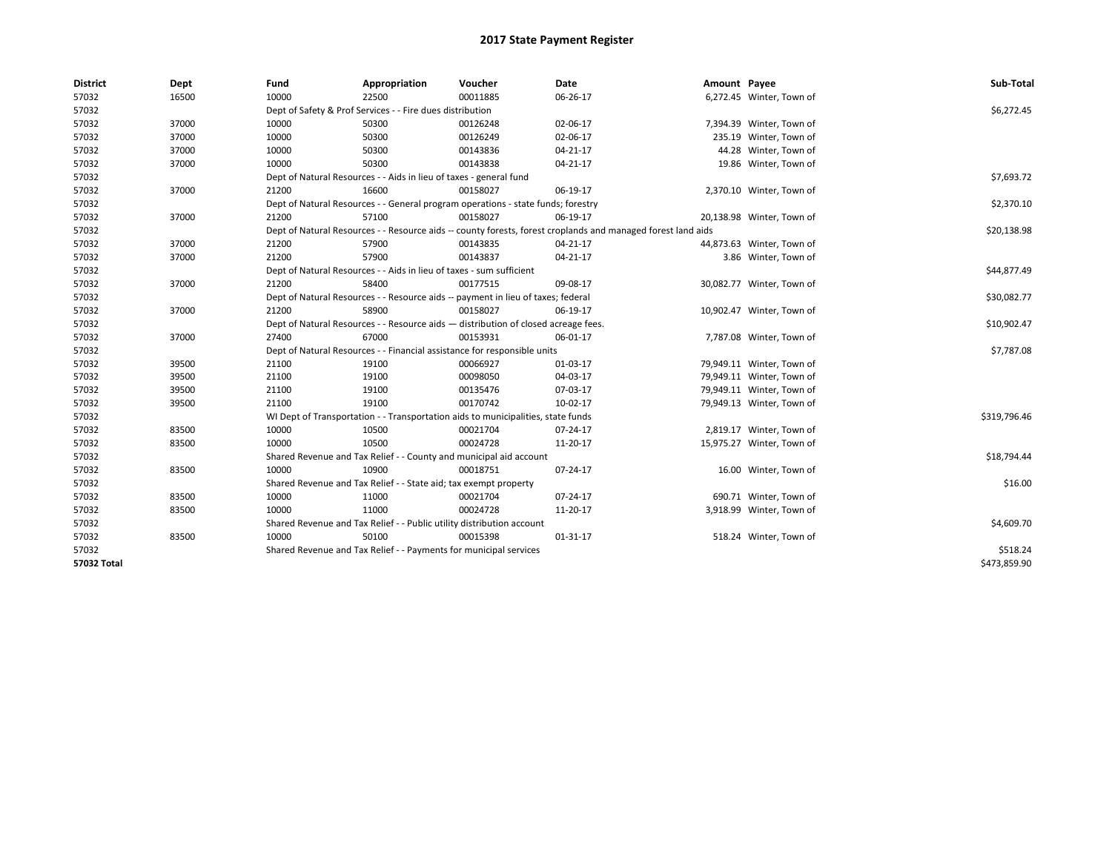| <b>District</b> | Dept  | Fund                                                                               | Appropriation                                                                    | Voucher     | Date                                                                                                         | Amount Payee |                           | Sub-Total    |  |  |
|-----------------|-------|------------------------------------------------------------------------------------|----------------------------------------------------------------------------------|-------------|--------------------------------------------------------------------------------------------------------------|--------------|---------------------------|--------------|--|--|
| 57032           | 16500 | 10000                                                                              | 22500                                                                            | 00011885    | 06-26-17                                                                                                     |              | 6,272.45 Winter, Town of  |              |  |  |
| 57032           |       |                                                                                    | Dept of Safety & Prof Services - - Fire dues distribution                        |             |                                                                                                              |              |                           | \$6,272.45   |  |  |
| 57032           | 37000 | 10000                                                                              | 50300                                                                            | 00126248    | 02-06-17                                                                                                     |              | 7,394.39 Winter, Town of  |              |  |  |
| 57032           | 37000 | 10000                                                                              | 50300                                                                            | 00126249    | 02-06-17                                                                                                     |              | 235.19 Winter, Town of    |              |  |  |
| 57032           | 37000 | 10000                                                                              | 50300                                                                            | 00143836    | 04-21-17                                                                                                     |              | 44.28 Winter, Town of     |              |  |  |
| 57032           | 37000 | 10000                                                                              | 50300                                                                            | 00143838    | 04-21-17                                                                                                     |              | 19.86 Winter, Town of     |              |  |  |
| 57032           |       |                                                                                    | Dept of Natural Resources - - Aids in lieu of taxes - general fund               |             |                                                                                                              |              |                           | \$7,693.72   |  |  |
| 57032           | 37000 | 21200                                                                              | 16600                                                                            | 00158027    | 06-19-17                                                                                                     |              | 2,370.10 Winter, Town of  |              |  |  |
| 57032           |       |                                                                                    | Dept of Natural Resources - - General program operations - state funds; forestry |             |                                                                                                              |              |                           | \$2,370.10   |  |  |
| 57032           | 37000 | 21200                                                                              | 57100                                                                            | 00158027    | 06-19-17                                                                                                     |              | 20,138.98 Winter, Town of |              |  |  |
| 57032           |       |                                                                                    |                                                                                  |             | Dept of Natural Resources - - Resource aids -- county forests, forest croplands and managed forest land aids |              |                           | \$20,138.98  |  |  |
| 57032           | 37000 | 21200                                                                              | 57900                                                                            | 00143835    | 04-21-17                                                                                                     |              | 44,873.63 Winter, Town of |              |  |  |
| 57032           | 37000 | 21200                                                                              | 57900                                                                            | 00143837    | 04-21-17                                                                                                     |              | 3.86 Winter, Town of      |              |  |  |
| 57032           |       |                                                                                    | Dept of Natural Resources - - Aids in lieu of taxes - sum sufficient             |             |                                                                                                              |              |                           |              |  |  |
| 57032           | 37000 | 21200                                                                              | 58400                                                                            | 00177515    | 09-08-17                                                                                                     |              | 30,082.77 Winter, Town of |              |  |  |
| 57032           |       |                                                                                    | Dept of Natural Resources - - Resource aids -- payment in lieu of taxes; federal |             |                                                                                                              |              |                           | \$30,082.77  |  |  |
| 57032           | 37000 | 21200                                                                              | 58900                                                                            | 00158027    | 06-19-17                                                                                                     |              | 10,902.47 Winter, Town of |              |  |  |
| 57032           |       | Dept of Natural Resources - - Resource aids - distribution of closed acreage fees. |                                                                                  | \$10,902.47 |                                                                                                              |              |                           |              |  |  |
| 57032           | 37000 | 27400                                                                              | 67000                                                                            | 00153931    | 06-01-17                                                                                                     |              | 7,787.08 Winter, Town of  |              |  |  |
| 57032           |       |                                                                                    | Dept of Natural Resources - - Financial assistance for responsible units         |             |                                                                                                              |              |                           | \$7,787.08   |  |  |
| 57032           | 39500 | 21100                                                                              | 19100                                                                            | 00066927    | 01-03-17                                                                                                     |              | 79,949.11 Winter, Town of |              |  |  |
| 57032           | 39500 | 21100                                                                              | 19100                                                                            | 00098050    | 04-03-17                                                                                                     |              | 79,949.11 Winter, Town of |              |  |  |
| 57032           | 39500 | 21100                                                                              | 19100                                                                            | 00135476    | 07-03-17                                                                                                     |              | 79,949.11 Winter, Town of |              |  |  |
| 57032           | 39500 | 21100                                                                              | 19100                                                                            | 00170742    | 10-02-17                                                                                                     |              | 79,949.13 Winter, Town of |              |  |  |
| 57032           |       |                                                                                    | WI Dept of Transportation - - Transportation aids to municipalities, state funds |             |                                                                                                              |              |                           | \$319,796.46 |  |  |
| 57032           | 83500 | 10000                                                                              | 10500                                                                            | 00021704    | 07-24-17                                                                                                     |              | 2,819.17 Winter, Town of  |              |  |  |
| 57032           | 83500 | 10000                                                                              | 10500                                                                            | 00024728    | 11-20-17                                                                                                     |              | 15,975.27 Winter, Town of |              |  |  |
| 57032           |       |                                                                                    | Shared Revenue and Tax Relief - - County and municipal aid account               |             |                                                                                                              |              |                           | \$18,794.44  |  |  |
| 57032           | 83500 | 10000                                                                              | 10900                                                                            | 00018751    | 07-24-17                                                                                                     |              | 16.00 Winter, Town of     |              |  |  |
| 57032           |       |                                                                                    | Shared Revenue and Tax Relief - - State aid; tax exempt property                 |             |                                                                                                              |              |                           | \$16.00      |  |  |
| 57032           | 83500 | 10000                                                                              | 11000                                                                            | 00021704    | 07-24-17                                                                                                     |              | 690.71 Winter, Town of    |              |  |  |
| 57032           | 83500 | 10000                                                                              | 11000                                                                            | 00024728    | 11-20-17                                                                                                     |              | 3,918.99 Winter, Town of  |              |  |  |
| 57032           |       |                                                                                    | Shared Revenue and Tax Relief - - Public utility distribution account            |             |                                                                                                              |              |                           | \$4,609.70   |  |  |
| 57032           | 83500 | 10000                                                                              | 50100                                                                            | 00015398    | $01 - 31 - 17$                                                                                               |              | 518.24 Winter, Town of    |              |  |  |
| 57032           |       |                                                                                    | Shared Revenue and Tax Relief - - Payments for municipal services                |             |                                                                                                              |              |                           | \$518.24     |  |  |
| 57032 Total     |       |                                                                                    |                                                                                  |             |                                                                                                              |              |                           | \$473,859.90 |  |  |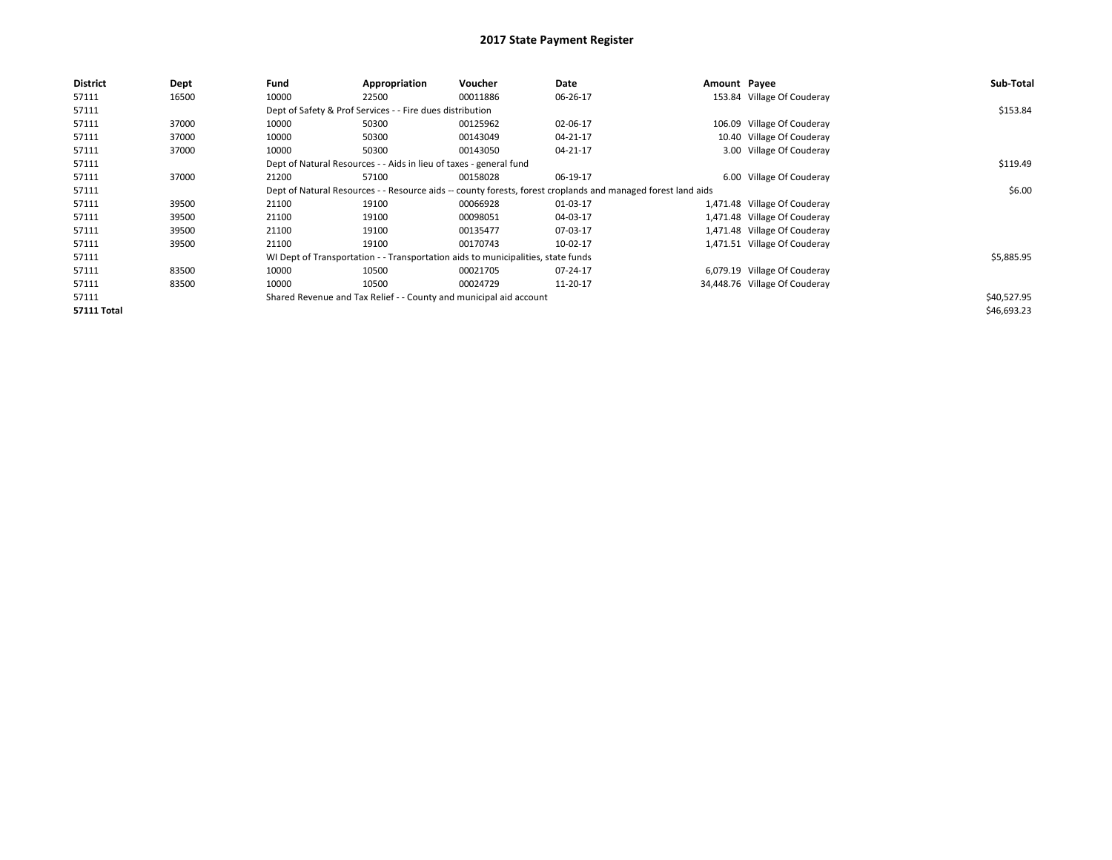| <b>District</b>    | Dept  | Fund  | Appropriation                                                                                                | Voucher                                                                          | Date     | Amount Payee |                               | Sub-Total   |  |  |
|--------------------|-------|-------|--------------------------------------------------------------------------------------------------------------|----------------------------------------------------------------------------------|----------|--------------|-------------------------------|-------------|--|--|
| 57111              | 16500 | 10000 | 22500                                                                                                        | 00011886                                                                         | 06-26-17 |              | 153.84 Village Of Couderay    |             |  |  |
| 57111              |       |       | Dept of Safety & Prof Services - - Fire dues distribution                                                    |                                                                                  |          |              |                               | \$153.84    |  |  |
| 57111              | 37000 | 10000 | 50300                                                                                                        | 00125962                                                                         | 02-06-17 |              | 106.09 Village Of Couderay    |             |  |  |
| 57111              | 37000 | 10000 | 50300                                                                                                        | 00143049                                                                         | 04-21-17 |              | 10.40 Village Of Couderay     |             |  |  |
| 57111              | 37000 | 10000 | 50300                                                                                                        | 00143050                                                                         | 04-21-17 |              | 3.00 Village Of Couderay      |             |  |  |
| 57111              |       |       | Dept of Natural Resources - - Aids in lieu of taxes - general fund                                           |                                                                                  |          |              |                               |             |  |  |
| 57111              | 37000 | 21200 | 57100                                                                                                        | 00158028                                                                         | 06-19-17 |              | 6.00 Village Of Couderay      |             |  |  |
| 57111              |       |       | Dept of Natural Resources - - Resource aids -- county forests, forest croplands and managed forest land aids |                                                                                  |          |              |                               |             |  |  |
| 57111              | 39500 | 21100 | 19100                                                                                                        | 00066928                                                                         | 01-03-17 |              | 1,471.48 Village Of Couderay  |             |  |  |
| 57111              | 39500 | 21100 | 19100                                                                                                        | 00098051                                                                         | 04-03-17 |              | 1,471.48 Village Of Couderay  |             |  |  |
| 57111              | 39500 | 21100 | 19100                                                                                                        | 00135477                                                                         | 07-03-17 |              | 1,471.48 Village Of Couderay  |             |  |  |
| 57111              | 39500 | 21100 | 19100                                                                                                        | 00170743                                                                         | 10-02-17 |              | 1,471.51 Village Of Couderay  |             |  |  |
| 57111              |       |       |                                                                                                              | WI Dept of Transportation - - Transportation aids to municipalities, state funds |          |              |                               | \$5,885.95  |  |  |
| 57111              | 83500 | 10000 | 10500                                                                                                        | 00021705                                                                         | 07-24-17 |              | 6,079.19 Village Of Couderay  |             |  |  |
| 57111              | 83500 | 10000 | 10500                                                                                                        | 00024729                                                                         | 11-20-17 |              | 34,448.76 Village Of Couderay |             |  |  |
| 57111              |       |       |                                                                                                              | Shared Revenue and Tax Relief - - County and municipal aid account               |          |              |                               | \$40,527.95 |  |  |
| <b>57111 Total</b> |       |       |                                                                                                              |                                                                                  |          |              |                               | \$46,693.23 |  |  |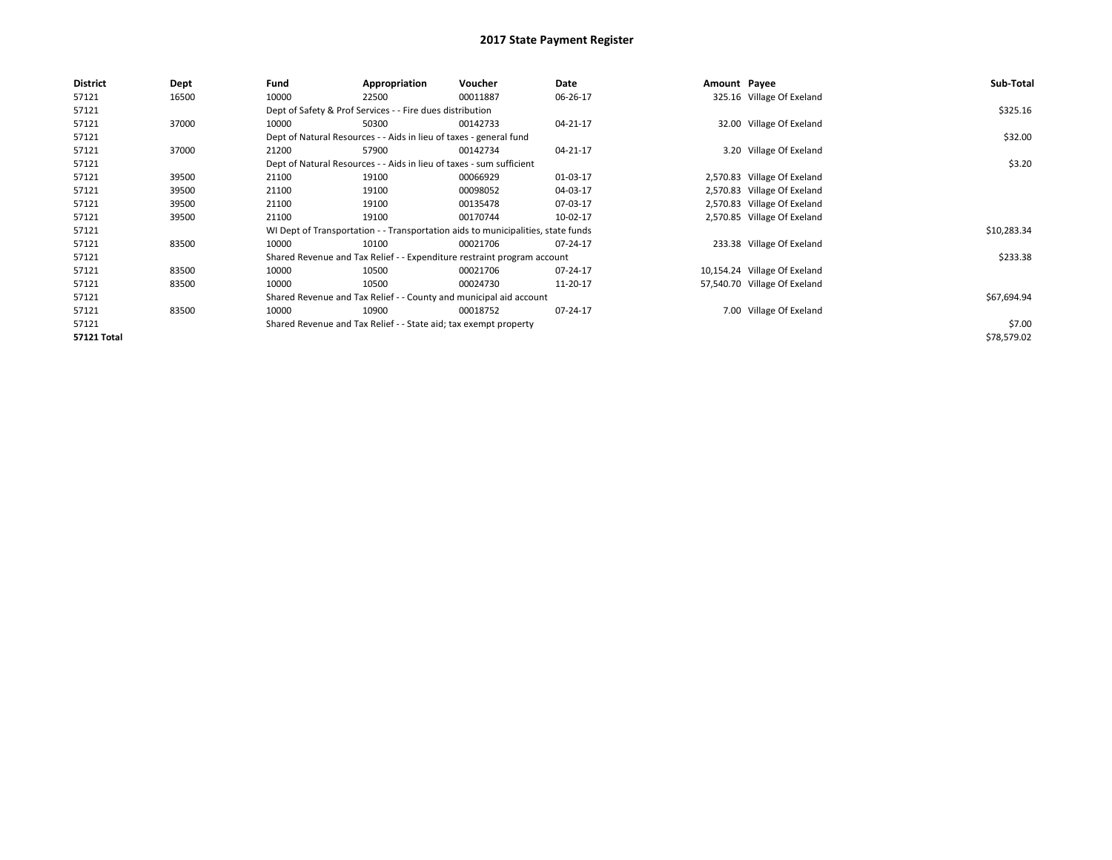| <b>District</b>    | Dept  | Fund                                                                 | Appropriation                                                                    | Voucher  | Date     | Amount Payee |                              | Sub-Total   |
|--------------------|-------|----------------------------------------------------------------------|----------------------------------------------------------------------------------|----------|----------|--------------|------------------------------|-------------|
| 57121              | 16500 | 10000                                                                | 22500                                                                            | 00011887 | 06-26-17 |              | 325.16 Village Of Exeland    |             |
| 57121              |       |                                                                      | Dept of Safety & Prof Services - - Fire dues distribution                        |          |          |              |                              | \$325.16    |
| 57121              | 37000 | 10000                                                                | 50300                                                                            | 00142733 | 04-21-17 |              | 32.00 Village Of Exeland     |             |
| 57121              |       |                                                                      | Dept of Natural Resources - - Aids in lieu of taxes - general fund               |          |          |              |                              | \$32.00     |
| 57121              | 37000 | 21200                                                                | 57900                                                                            | 00142734 | 04-21-17 |              | 3.20 Village Of Exeland      |             |
| 57121              |       | Dept of Natural Resources - - Aids in lieu of taxes - sum sufficient |                                                                                  | \$3.20   |          |              |                              |             |
| 57121              | 39500 | 21100                                                                | 19100                                                                            | 00066929 | 01-03-17 |              | 2,570.83 Village Of Exeland  |             |
| 57121              | 39500 | 21100                                                                | 19100                                                                            | 00098052 | 04-03-17 |              | 2,570.83 Village Of Exeland  |             |
| 57121              | 39500 | 21100                                                                | 19100                                                                            | 00135478 | 07-03-17 |              | 2,570.83 Village Of Exeland  |             |
| 57121              | 39500 | 21100                                                                | 19100                                                                            | 00170744 | 10-02-17 |              | 2,570.85 Village Of Exeland  |             |
| 57121              |       |                                                                      | WI Dept of Transportation - - Transportation aids to municipalities, state funds |          |          |              |                              | \$10,283.34 |
| 57121              | 83500 | 10000                                                                | 10100                                                                            | 00021706 | 07-24-17 |              | 233.38 Village Of Exeland    |             |
| 57121              |       |                                                                      | Shared Revenue and Tax Relief - - Expenditure restraint program account          |          |          |              |                              | \$233.38    |
| 57121              | 83500 | 10000                                                                | 10500                                                                            | 00021706 | 07-24-17 |              | 10,154.24 Village Of Exeland |             |
| 57121              | 83500 | 10000                                                                | 10500                                                                            | 00024730 | 11-20-17 |              | 57,540.70 Village Of Exeland |             |
| 57121              |       |                                                                      | Shared Revenue and Tax Relief - - County and municipal aid account               |          |          |              |                              | \$67,694.94 |
| 57121              | 83500 | 10000                                                                | 10900                                                                            | 00018752 | 07-24-17 |              | 7.00 Village Of Exeland      |             |
| 57121              |       |                                                                      | Shared Revenue and Tax Relief - - State aid; tax exempt property                 |          |          |              |                              | \$7.00      |
| <b>57121 Total</b> |       |                                                                      |                                                                                  |          |          |              |                              | \$78,579.02 |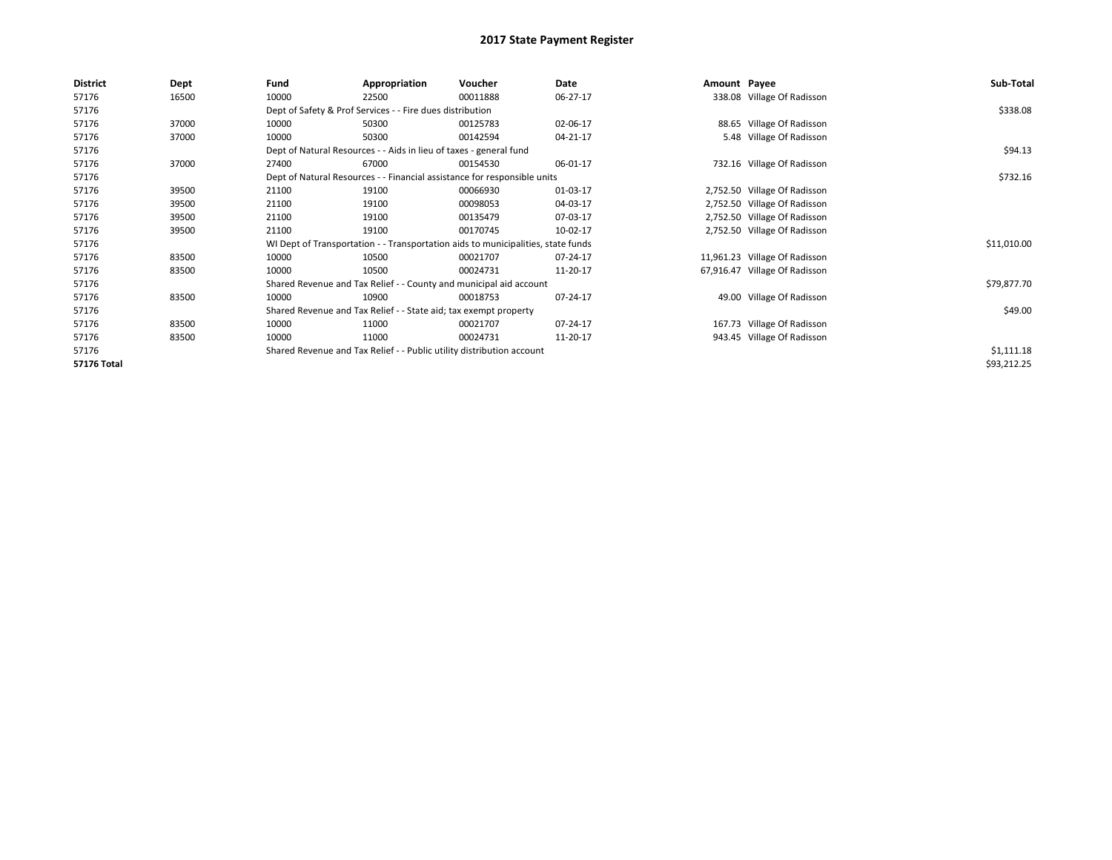| <b>District</b> | Dept  | Fund                                                               | Appropriation                                                                    | Voucher  | Date     | Amount Payee |                               | Sub-Total   |
|-----------------|-------|--------------------------------------------------------------------|----------------------------------------------------------------------------------|----------|----------|--------------|-------------------------------|-------------|
| 57176           | 16500 | 10000                                                              | 22500                                                                            | 00011888 | 06-27-17 |              | 338.08 Village Of Radisson    |             |
| 57176           |       |                                                                    | Dept of Safety & Prof Services - - Fire dues distribution                        |          |          |              |                               | \$338.08    |
| 57176           | 37000 | 10000                                                              | 50300                                                                            | 00125783 | 02-06-17 |              | 88.65 Village Of Radisson     |             |
| 57176           | 37000 | 10000                                                              | 50300                                                                            | 00142594 | 04-21-17 |              | 5.48 Village Of Radisson      |             |
| 57176           |       | Dept of Natural Resources - - Aids in lieu of taxes - general fund |                                                                                  | \$94.13  |          |              |                               |             |
| 57176           | 37000 | 27400                                                              | 67000                                                                            | 00154530 | 06-01-17 |              | 732.16 Village Of Radisson    |             |
| 57176           |       |                                                                    | Dept of Natural Resources - - Financial assistance for responsible units         |          |          |              |                               | \$732.16    |
| 57176           | 39500 | 21100                                                              | 19100                                                                            | 00066930 | 01-03-17 |              | 2,752.50 Village Of Radisson  |             |
| 57176           | 39500 | 21100                                                              | 19100                                                                            | 00098053 | 04-03-17 |              | 2,752.50 Village Of Radisson  |             |
| 57176           | 39500 | 21100                                                              | 19100                                                                            | 00135479 | 07-03-17 |              | 2,752.50 Village Of Radisson  |             |
| 57176           | 39500 | 21100                                                              | 19100                                                                            | 00170745 | 10-02-17 |              | 2,752.50 Village Of Radisson  |             |
| 57176           |       |                                                                    | WI Dept of Transportation - - Transportation aids to municipalities, state funds |          |          |              |                               | \$11,010.00 |
| 57176           | 83500 | 10000                                                              | 10500                                                                            | 00021707 | 07-24-17 |              | 11,961.23 Village Of Radisson |             |
| 57176           | 83500 | 10000                                                              | 10500                                                                            | 00024731 | 11-20-17 |              | 67,916.47 Village Of Radisson |             |
| 57176           |       |                                                                    | Shared Revenue and Tax Relief - - County and municipal aid account               |          |          |              |                               | \$79,877.70 |
| 57176           | 83500 | 10000                                                              | 10900                                                                            | 00018753 | 07-24-17 |              | 49.00 Village Of Radisson     |             |
| 57176           |       |                                                                    | Shared Revenue and Tax Relief - - State aid; tax exempt property                 |          |          |              |                               | \$49.00     |
| 57176           | 83500 | 10000                                                              | 11000                                                                            | 00021707 | 07-24-17 |              | 167.73 Village Of Radisson    |             |
| 57176           | 83500 | 10000                                                              | 11000                                                                            | 00024731 | 11-20-17 |              | 943.45 Village Of Radisson    |             |
| 57176           |       |                                                                    | Shared Revenue and Tax Relief - - Public utility distribution account            |          |          |              |                               | \$1,111.18  |
| 57176 Total     |       |                                                                    |                                                                                  |          |          |              |                               | \$93,212.25 |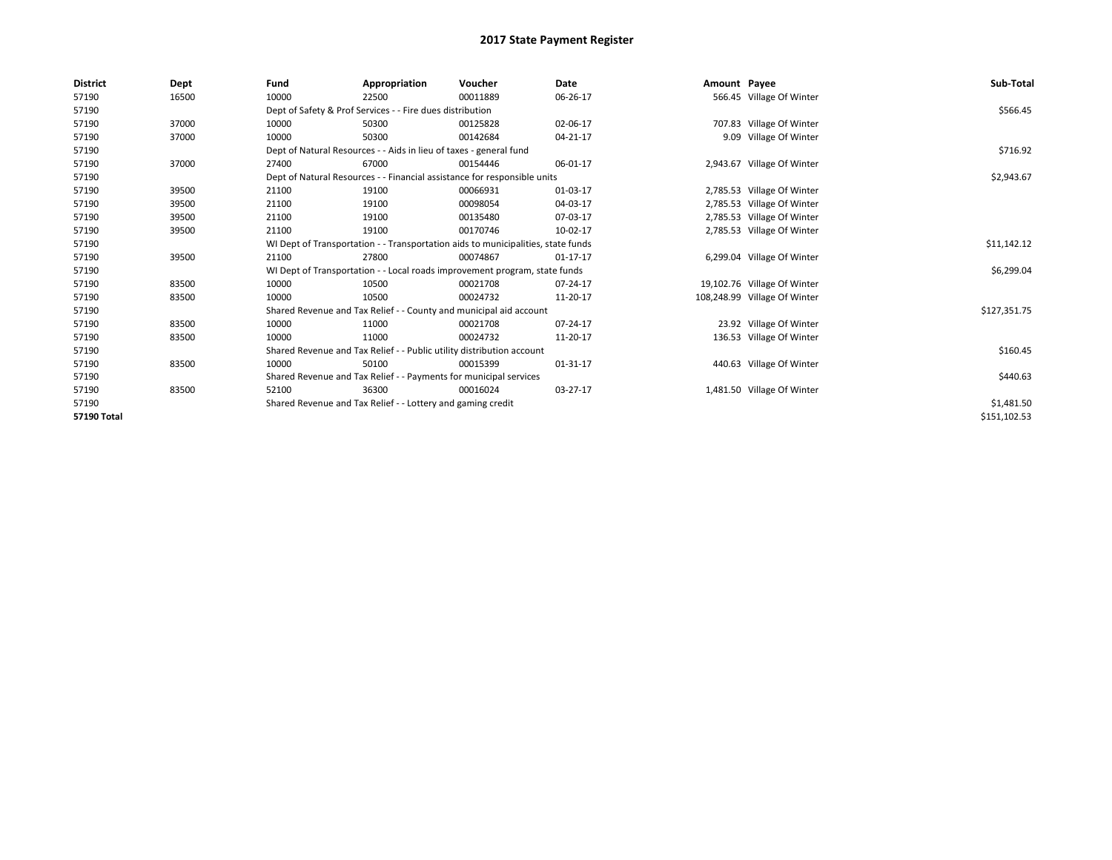| <b>District</b> | Dept  | Fund  | Appropriation                                                                    | Voucher  | Date           | Amount Payee |                              | Sub-Total    |  |  |
|-----------------|-------|-------|----------------------------------------------------------------------------------|----------|----------------|--------------|------------------------------|--------------|--|--|
| 57190           | 16500 | 10000 | 22500                                                                            | 00011889 | 06-26-17       |              | 566.45 Village Of Winter     |              |  |  |
| 57190           |       |       | Dept of Safety & Prof Services - - Fire dues distribution                        |          |                |              |                              | \$566.45     |  |  |
| 57190           | 37000 | 10000 | 50300                                                                            | 00125828 | 02-06-17       |              | 707.83 Village Of Winter     |              |  |  |
| 57190           | 37000 | 10000 | 50300                                                                            | 00142684 | 04-21-17       |              | 9.09 Village Of Winter       |              |  |  |
| 57190           |       |       | Dept of Natural Resources - - Aids in lieu of taxes - general fund               |          |                |              |                              | \$716.92     |  |  |
| 57190           | 37000 | 27400 | 67000                                                                            | 00154446 | 06-01-17       |              | 2,943.67 Village Of Winter   |              |  |  |
| 57190           |       |       | Dept of Natural Resources - - Financial assistance for responsible units         |          |                |              |                              |              |  |  |
| 57190           | 39500 | 21100 | 19100                                                                            | 00066931 | 01-03-17       |              | 2,785.53 Village Of Winter   |              |  |  |
| 57190           | 39500 | 21100 | 19100                                                                            | 00098054 | 04-03-17       |              | 2,785.53 Village Of Winter   |              |  |  |
| 57190           | 39500 | 21100 | 19100                                                                            | 00135480 | 07-03-17       |              | 2,785.53 Village Of Winter   |              |  |  |
| 57190           | 39500 | 21100 | 19100                                                                            | 00170746 | 10-02-17       |              | 2,785.53 Village Of Winter   |              |  |  |
| 57190           |       |       | WI Dept of Transportation - - Transportation aids to municipalities, state funds |          |                |              |                              |              |  |  |
| 57190           | 39500 | 21100 | 27800                                                                            | 00074867 | $01 - 17 - 17$ |              | 6,299.04 Village Of Winter   |              |  |  |
| 57190           |       |       | WI Dept of Transportation - - Local roads improvement program, state funds       |          |                |              |                              | \$6,299.04   |  |  |
| 57190           | 83500 | 10000 | 10500                                                                            | 00021708 | 07-24-17       |              | 19,102.76 Village Of Winter  |              |  |  |
| 57190           | 83500 | 10000 | 10500                                                                            | 00024732 | 11-20-17       |              | 108,248.99 Village Of Winter |              |  |  |
| 57190           |       |       | Shared Revenue and Tax Relief - - County and municipal aid account               |          |                |              |                              | \$127,351.75 |  |  |
| 57190           | 83500 | 10000 | 11000                                                                            | 00021708 | 07-24-17       |              | 23.92 Village Of Winter      |              |  |  |
| 57190           | 83500 | 10000 | 11000                                                                            | 00024732 | 11-20-17       |              | 136.53 Village Of Winter     |              |  |  |
| 57190           |       |       | Shared Revenue and Tax Relief - - Public utility distribution account            |          |                |              |                              | \$160.45     |  |  |
| 57190           | 83500 | 10000 | 50100                                                                            | 00015399 | 01-31-17       |              | 440.63 Village Of Winter     |              |  |  |
| 57190           |       |       | Shared Revenue and Tax Relief - - Payments for municipal services                |          |                |              |                              | \$440.63     |  |  |
| 57190           | 83500 | 52100 | 36300                                                                            | 00016024 | 03-27-17       |              | 1,481.50 Village Of Winter   |              |  |  |
| 57190           |       |       | Shared Revenue and Tax Relief - - Lottery and gaming credit                      |          |                |              |                              |              |  |  |
| 57190 Total     |       |       |                                                                                  |          |                |              |                              | \$151,102.53 |  |  |